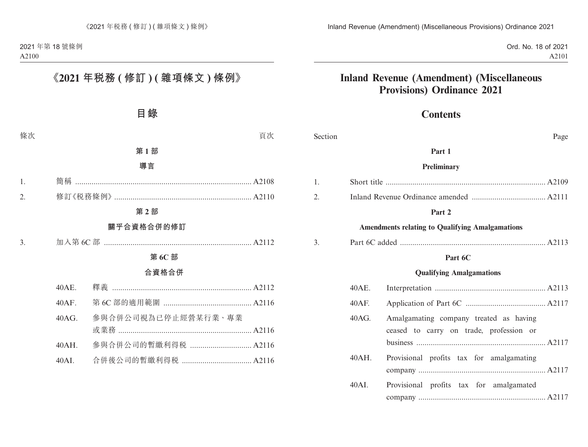Ord. No. 18 of 2021 A2101

# **Inland Revenue (Amendment) (Miscellaneous Provisions) Ordinance 2021**

## **Contents**

| Section |          | Page                                                                              |  |
|---------|----------|-----------------------------------------------------------------------------------|--|
|         |          | Part 1                                                                            |  |
|         |          | Preliminary                                                                       |  |
| 1.      |          |                                                                                   |  |
| 2.      |          |                                                                                   |  |
|         |          | Part 2                                                                            |  |
|         |          | <b>Amendments relating to Qualifying Amalgamations</b>                            |  |
| 3.      |          |                                                                                   |  |
|         | Part 6C  |                                                                                   |  |
|         |          | <b>Qualifying Amalgamations</b>                                                   |  |
|         | 40AE.    |                                                                                   |  |
|         | $40AF$ . |                                                                                   |  |
|         | 40AG.    | Amalgamating company treated as having<br>ceased to carry on trade, profession or |  |
|         | $40AH$ . | Provisional profits tax for amalgamating                                          |  |
|         | 40AI.    | Provisional profits tax for amalgamated                                           |  |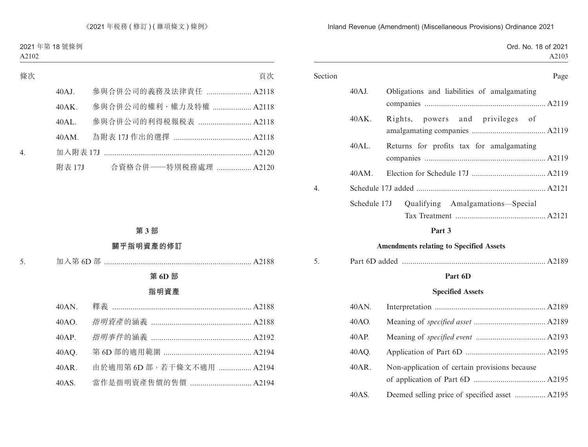|  |  | Ord. No. 18 of 2021 |
|--|--|---------------------|
|  |  | A2103               |

| Section |              | Page                                        |
|---------|--------------|---------------------------------------------|
|         | 40AJ.        | Obligations and liabilities of amalgamating |
|         | 40AK.        | powers and privileges of<br>Rights,         |
|         | 40AL.        | Returns for profits tax for amalgamating    |
|         |              |                                             |
|         | $40AM$ .     |                                             |
| 4.      |              |                                             |
|         | Schedule 17J | Amalgamations—Special<br>Qualifying         |
|         |              | A2121                                       |
|         |              | $\mathbf{r}$ $\mathbf{r}$                   |

#### **Part 3**

### **Amendments relating to Specified Assets**

| J. |  |  |
|----|--|--|
|----|--|--|

### **Part 6D**

### **Specified Assets**

| 40AN. |                                                |  |
|-------|------------------------------------------------|--|
| 40AO. |                                                |  |
| 40AP. |                                                |  |
| 40AQ. |                                                |  |
| 40AR. | Non-application of certain provisions because  |  |
| 40AS. | Deemed selling price of specified asset  A2195 |  |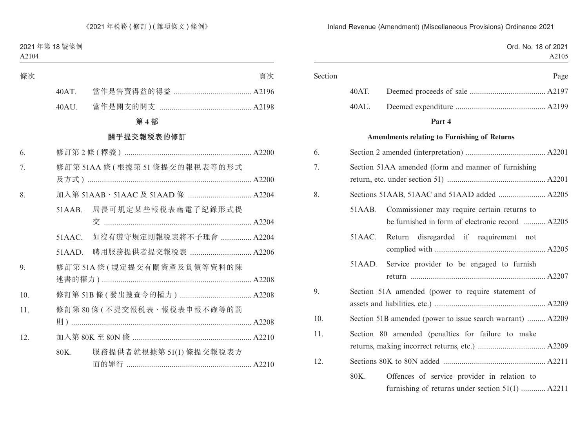Ord. No. 18 of 2021 A2105 Section Page 40AT. Deemed proceeds of sale ..................................... A2197 40AU. Deemed expenditure ............................................ A2199 **Part 4 Amendments relating to Furnishing of Returns** 6. Section 2 amended (interpretation) ....................................... A2201 7. Section 51AA amended (form and manner of furnishing return, etc. under section 51) ................................................ A2201 8. Sections 51AAB, 51AAC and 51AAD added ....................... A2205 51AAB. Commissioner may require certain returns to be furnished in form of electronic record ........... A2205 51AAC. Return disregarded if requirement not complied with ...................................................... A2205 51AAD. Service provider to be engaged to furnish return .................................................................. A2207 9. Section 51A amended (power to require statement of assets and liabilities, etc.) ...................................................... A2209 10. Section 51B amended (power to issue search warrant) ......... A2209 11. Section 80 amended (penalties for failure to make returns, making incorrect returns, etc.) ................................. A2209 12. Sections 80K to 80N added .................................................. A2211 80K. Offences of service provider in relation to furnishing of returns under section 51(1) ............ A2211

Inland Revenue (Amendment) (Miscellaneous Provisions) Ordinance 2021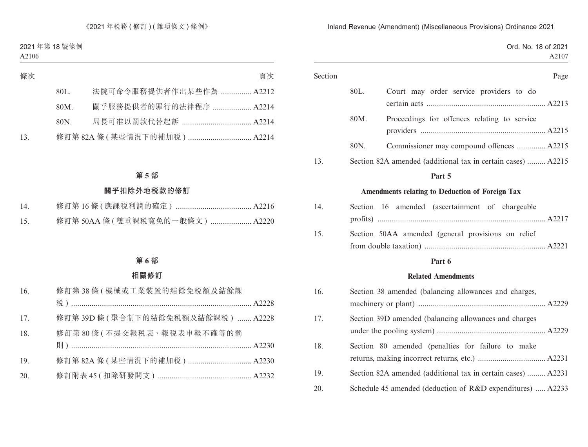Ord. No. 18 of 2021 A2107

| Section |      | Page                                                         |
|---------|------|--------------------------------------------------------------|
|         | 80L. | Court may order service providers to do                      |
|         | 80M. | Proceedings for offences relating to service                 |
|         | 80N. | Commissioner may compound offences  A2215                    |
| 13.     |      | Section 82A amended (additional tax in certain cases)  A2215 |
|         |      | Part 5                                                       |
|         |      | Amendments relating to Deduction of Foreign Tax              |
| 14.     |      | Section 16 amended (ascertainment of chargeable              |
| 15.     |      | Section 50AA amended (general provisions on relief           |
|         |      | Part 6                                                       |
|         |      | <b>Related Amendments</b>                                    |
| 16.     |      | Section 38 amended (balancing allowances and charges,        |
| 17.     |      | Section 39D amended (balancing allowances and charges        |
| 18.     |      | Section 80 amended (penalties for failure to make            |
| 19.     |      | Section 82A amended (additional tax in certain cases)  A2231 |
| 20.     |      | Schedule 45 amended (deduction of R&D expenditures)  A2233   |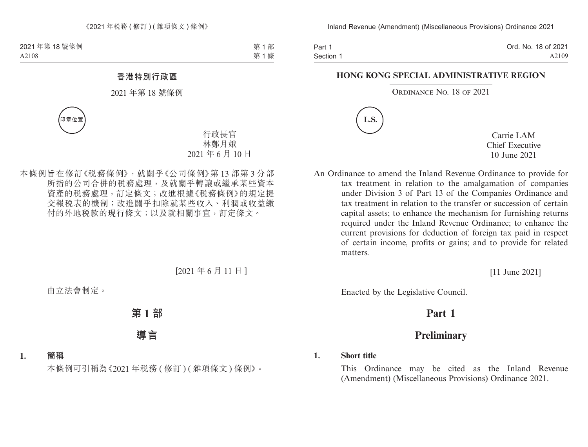Part 1 Section 1 Ord. No. 18 of 2021 A2109

#### **HONG KONG SPECIAL ADMINISTRATIVE REGION**

#### ORDINANCE NO. 18 OF 2021



Carrie LAM Chief Executive 10 June 2021

An Ordinance to amend the Inland Revenue Ordinance to provide for tax treatment in relation to the amalgamation of companies under Division 3 of Part 13 of the Companies Ordinance and tax treatment in relation to the transfer or succession of certain capital assets; to enhance the mechanism for furnishing returns required under the Inland Revenue Ordinance; to enhance the current provisions for deduction of foreign tax paid in respect of certain income, profits or gains; and to provide for related matters.

[11 June 2021]

Enacted by the Legislative Council.

# **Part 1**

# **Preliminary**

#### **1. Short title**

This Ordinance may be cited as the Inland Revenue (Amendment) (Miscellaneous Provisions) Ordinance 2021.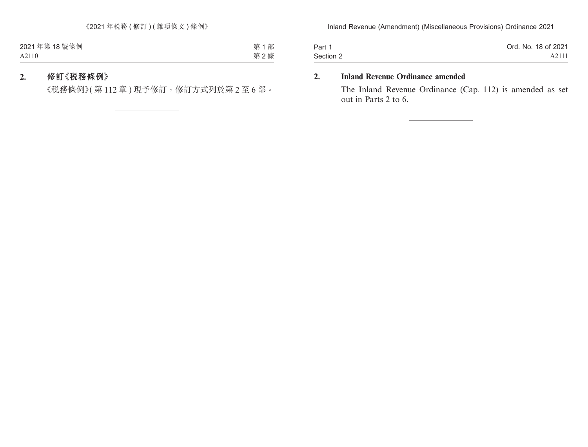| Part 1    | Ord. No. 18 of 2021 |
|-----------|---------------------|
| Section 2 | A2111               |

### **2. Inland Revenue Ordinance amended**

The Inland Revenue Ordinance (Cap. 112) is amended as set out in Parts 2 to 6.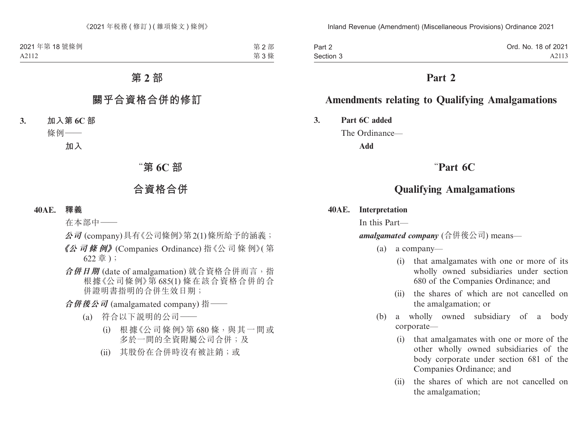| Part 2    | Ord. No. 18 of 2021 |
|-----------|---------------------|
| Section 3 | A2113               |

## **Part 2**

## **Amendments relating to Qualifying Amalgamations**

**3. Part 6C added**

The Ordinance—

**Add**

## "**Part 6C**

## **Qualifying Amalgamations**

#### **40AE. Interpretation**

In this Part—

*amalgamated company* (合併後公司) means—

(a) a company—

- (i) that amalgamates with one or more of its wholly owned subsidiaries under section 680 of the Companies Ordinance; and
- (ii) the shares of which are not cancelled on the amalgamation; or
- (b) a wholly owned subsidiary of a body corporate—
	- (i) that amalgamates with one or more of the other wholly owned subsidiaries of the body corporate under section 681 of the Companies Ordinance; and
	- (ii) the shares of which are not cancelled on the amalgamation;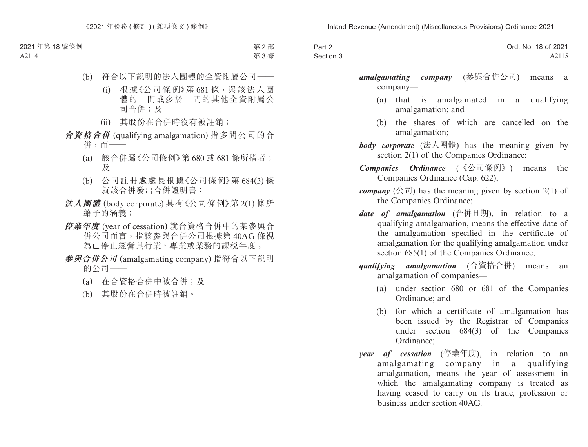| Part 2    | Ord. No. 18 of 2021 |
|-----------|---------------------|
| Section 3 | A2115               |

*amalgamating company* (參與合併公司) means a company—

- (a) that is amalgamated in a qualifying amalgamation; and
- (b) the shares of which are cancelled on the amalgamation;
- *body corporate* (法人團體) has the meaning given by section 2(1) of the Companies Ordinance;
- *Companies Ordinance* (《公司條例》) means the Companies Ordinance (Cap. 622);
- *company*  $(  $\triangle \overline{\mathbb{a}}$  ) has the meaning given by section 2(1) of$ the Companies Ordinance;
- *date of amalgamation* (合併日期), in relation to a qualifying amalgamation, means the effective date of the amalgamation specified in the certificate of amalgamation for the qualifying amalgamation under section  $685(1)$  of the Companies Ordinance;
- *qualifying amalgamation* (合資格合併) means an amalgamation of companies—
	- (a) under section 680 or 681 of the Companies Ordinance; and
	- (b) for which a certificate of amalgamation has been issued by the Registrar of Companies under section 684(3) of the Companies Ordinance;
- *year of cessation* (停業年度), in relation to an amalgamating company in a qualifying amalgamation, means the year of assessment in which the amalgamating company is treated as having ceased to carry on its trade, profession or business under section 40AG.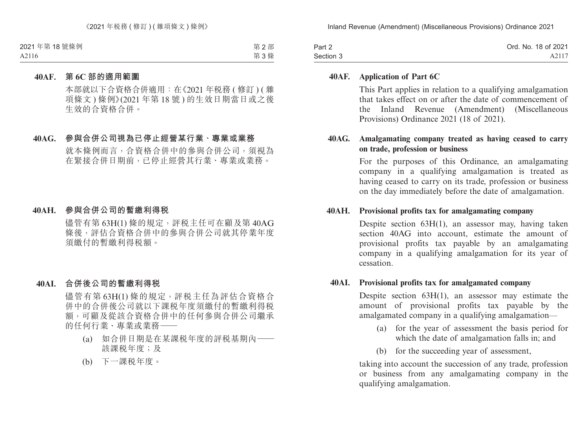| Part 2    | Ord. No. 18 of 2021 |
|-----------|---------------------|
| Section 3 | A2117               |

#### **40AF. Application of Part 6C**

This Part applies in relation to a qualifying amalgamation that takes effect on or after the date of commencement of the Inland Revenue (Amendment) (Miscellaneous Provisions) Ordinance 2021 (18 of 2021).

### **40AG. Amalgamating company treated as having ceased to carry on trade, profession or business**

For the purposes of this Ordinance, an amalgamating company in a qualifying amalgamation is treated as having ceased to carry on its trade, profession or business on the day immediately before the date of amalgamation.

#### **40AH. Provisional profits tax for amalgamating company**

Despite section 63H(1), an assessor may, having taken section 40AG into account, estimate the amount of provisional profits tax payable by an amalgamating company in a qualifying amalgamation for its year of cessation.

#### **40AI. Provisional profits tax for amalgamated company**

Despite section 63H(1), an assessor may estimate the amount of provisional profits tax payable by the amalgamated company in a qualifying amalgamation—

- (a) for the year of assessment the basis period for which the date of amalgamation falls in; and
- (b) for the succeeding year of assessment,

taking into account the succession of any trade, profession or business from any amalgamating company in the qualifying amalgamation.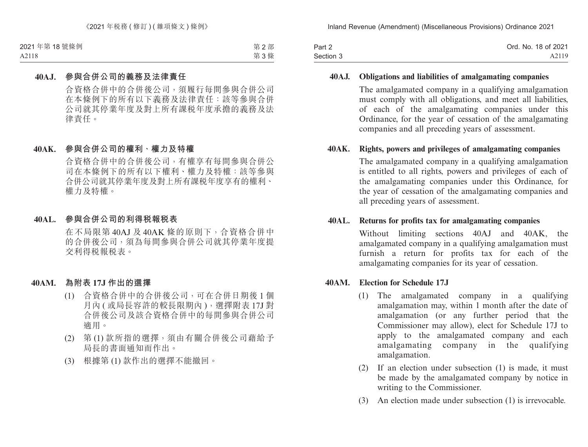| Part 2    | Ord. No. 18 of 2021 |
|-----------|---------------------|
| Section 3 | A2119               |

#### **40AJ. Obligations and liabilities of amalgamating companies**

The amalgamated company in a qualifying amalgamation must comply with all obligations, and meet all liabilities, of each of the amalgamating companies under this Ordinance, for the year of cessation of the amalgamating companies and all preceding years of assessment.

### **40AK. Rights, powers and privileges of amalgamating companies**

The amalgamated company in a qualifying amalgamation is entitled to all rights, powers and privileges of each of the amalgamating companies under this Ordinance, for the year of cessation of the amalgamating companies and all preceding years of assessment.

#### **40AL. Returns for profits tax for amalgamating companies**

Without limiting sections 40AJ and 40AK, the amalgamated company in a qualifying amalgamation must furnish a return for profits tax for each of the amalgamating companies for its year of cessation.

#### **40AM. Election for Schedule 17J**

- (1) The amalgamated company in a qualifying amalgamation may, within 1 month after the date of amalgamation (or any further period that the Commissioner may allow), elect for Schedule 17J to apply to the amalgamated company and each amalgamating company in the qualifying amalgamation.
- (2) If an election under subsection (1) is made, it must be made by the amalgamated company by notice in writing to the Commissioner.
- (3) An election made under subsection (1) is irrevocable.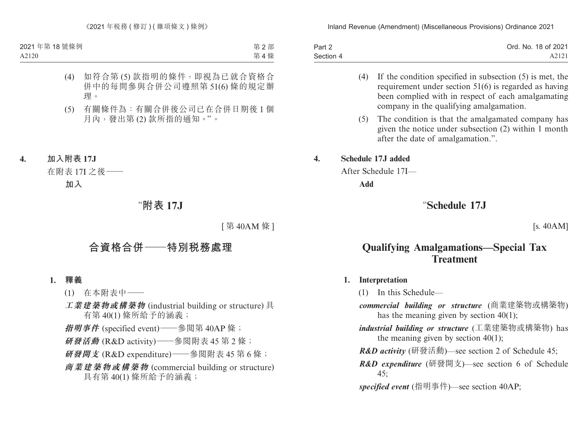| Part 2    | Ord. No. 18 of 2021 |
|-----------|---------------------|
| Section 4 | A2121               |

- (4) If the condition specified in subsection (5) is met, the requirement under section 51(6) is regarded as having been complied with in respect of each amalgamating company in the qualifying amalgamation.
- (5) The condition is that the amalgamated company has given the notice under subsection (2) within 1 month after the date of amalgamation.".

### **4. Schedule 17J added**

After Schedule 17I—

**Add**

# "**Schedule 17J**

[s. 40AM]

# **Qualifying Amalgamations—Special Tax Treatment**

### **1. Interpretation**

(1) In this Schedule—

- *commercial building or structure* (商業建築物或構築物) has the meaning given by section 40(1);
- *industrial building or structure* (工業建築物或構築物) has the meaning given by section  $40(1)$ ;
- *R&D activity* (研發活動)—see section 2 of Schedule 45;
- *R&D expenditure* (研發開支)—see section 6 of Schedule 45;

*specified event* (指明事件)—see section 40AP;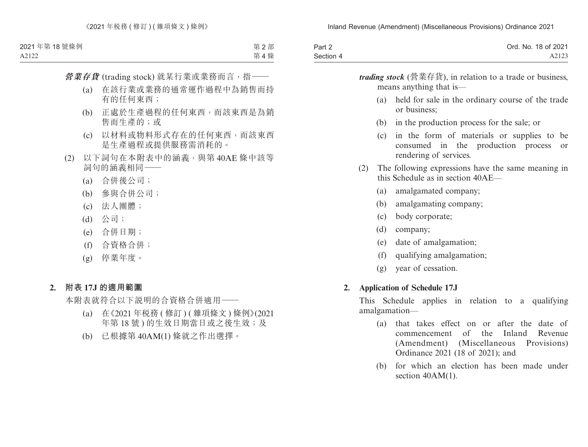| Part 2    | Ord. No. 18 of 2021 |
|-----------|---------------------|
| Section 4 | A2123               |

*trading stock* (營業存貨), in relation to a trade or business, means anything that is— (a) held for sale in the ordinary course of the trade or business; (b) in the production process for the sale; or (c) in the form of materials or supplies to be consumed in the production process or rendering of services. (2) The following expressions have the same meaning in this Schedule as in section 40AE— (a) amalgamated company; (b) amalgamating company; (c) body corporate; (d) company; (e) date of amalgamation; (f) qualifying amalgamation;

(g) year of cessation.

#### **2. Application of Schedule 17J**

This Schedule applies in relation to a qualifying amalgamation—

- (a) that takes effect on or after the date of commencement of the Inland Revenue (Amendment) (Miscellaneous Provisions) Ordinance 2021 (18 of 2021); and
- (b) for which an election has been made under section  $40AM(1)$ .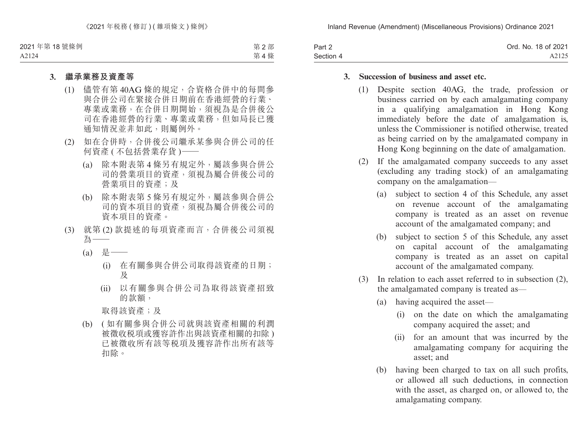| Part 2    | Ord. No. 18 of 2021 |
|-----------|---------------------|
| Section 4 | A2125               |

### **3. Succession of business and asset etc.**

- (1) Despite section 40AG, the trade, profession or business carried on by each amalgamating company in a qualifying amalgamation in Hong Kong immediately before the date of amalgamation is, unless the Commissioner is notified otherwise, treated as being carried on by the amalgamated company in Hong Kong beginning on the date of amalgamation.
- (2) If the amalgamated company succeeds to any asset (excluding any trading stock) of an amalgamating company on the amalgamation—
	- (a) subject to section 4 of this Schedule, any asset on revenue account of the amalgamating company is treated as an asset on revenue account of the amalgamated company; and
	- (b) subject to section 5 of this Schedule, any asset on capital account of the amalgamating company is treated as an asset on capital account of the amalgamated company.
- (3) In relation to each asset referred to in subsection (2), the amalgamated company is treated as—
	- (a) having acquired the asset—
		- (i) on the date on which the amalgamating company acquired the asset; and
		- (ii) for an amount that was incurred by the amalgamating company for acquiring the asset; and
	- (b) having been charged to tax on all such profits, or allowed all such deductions, in connection with the asset, as charged on, or allowed to, the amalgamating company.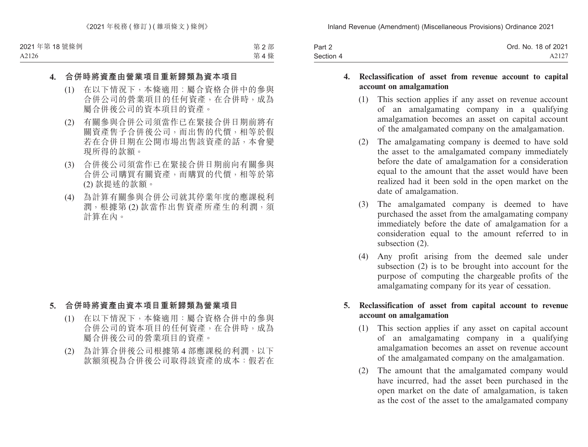| Part 2    | Ord. No. 18 of 2021 |
|-----------|---------------------|
| Section 4 | A2127               |

#### **4. Reclassification of asset from revenue account to capital account on amalgamation**

- (1) This section applies if any asset on revenue account of an amalgamating company in a qualifying amalgamation becomes an asset on capital account of the amalgamated company on the amalgamation.
- (2) The amalgamating company is deemed to have sold the asset to the amalgamated company immediately before the date of amalgamation for a consideration equal to the amount that the asset would have been realized had it been sold in the open market on the date of amalgamation.
- (3) The amalgamated company is deemed to have purchased the asset from the amalgamating company immediately before the date of amalgamation for a consideration equal to the amount referred to in subsection (2).
- (4) Any profit arising from the deemed sale under subsection (2) is to be brought into account for the purpose of computing the chargeable profits of the amalgamating company for its year of cessation.

### **5. Reclassification of asset from capital account to revenue account on amalgamation**

- (1) This section applies if any asset on capital account of an amalgamating company in a qualifying amalgamation becomes an asset on revenue account of the amalgamated company on the amalgamation.
- (2) The amount that the amalgamated company would have incurred, had the asset been purchased in the open market on the date of amalgamation, is taken as the cost of the asset to the amalgamated company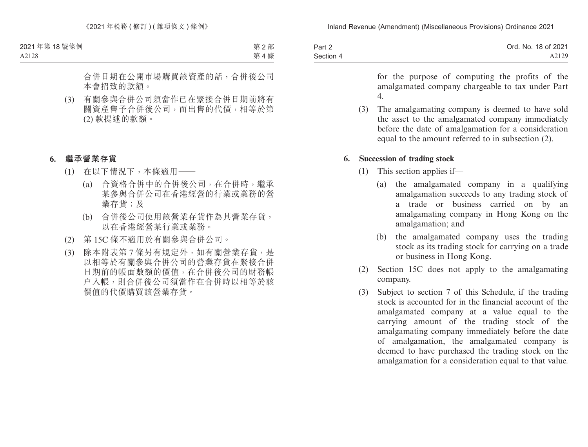| Part 2    | Ord. No. 18 of 2021 |
|-----------|---------------------|
| Section 4 | A2129               |

for the purpose of computing the profits of the amalgamated company chargeable to tax under Part 4.

(3) The amalgamating company is deemed to have sold the asset to the amalgamated company immediately before the date of amalgamation for a consideration equal to the amount referred to in subsection (2).

### **6. Succession of trading stock**

- (1) This section applies if—
	- (a) the amalgamated company in a qualifying amalgamation succeeds to any trading stock of a trade or business carried on by an amalgamating company in Hong Kong on the amalgamation; and
	- (b) the amalgamated company uses the trading stock as its trading stock for carrying on a trade or business in Hong Kong.
- (2) Section 15C does not apply to the amalgamating company.
- (3) Subject to section 7 of this Schedule, if the trading stock is accounted for in the financial account of the amalgamated company at a value equal to the carrying amount of the trading stock of the amalgamating company immediately before the date of amalgamation, the amalgamated company is deemed to have purchased the trading stock on the amalgamation for a consideration equal to that value.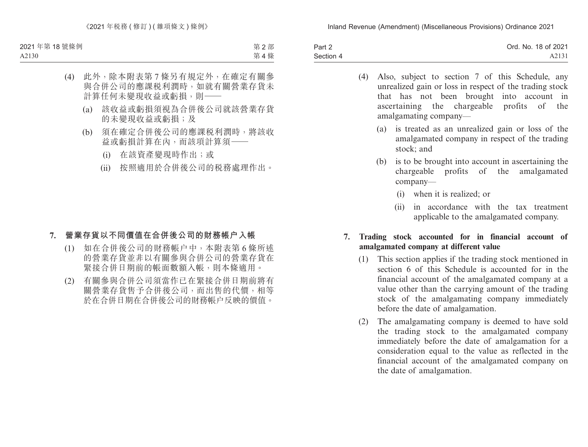| Part 2    | Ord. No. 18 of 2021 |
|-----------|---------------------|
| Section 4 | A2131               |

- (4) Also, subject to section 7 of this Schedule, any unrealized gain or loss in respect of the trading stock that has not been brought into account in ascertaining the chargeable profits of the amalgamating company—
	- (a) is treated as an unrealized gain or loss of the amalgamated company in respect of the trading stock; and
	- (b) is to be brought into account in ascertaining the chargeable profits of the amalgamated company—
		- (i) when it is realized; or
		- (ii) in accordance with the tax treatment applicable to the amalgamated company.

### **7. Trading stock accounted for in financial account of amalgamated company at different value**

- (1) This section applies if the trading stock mentioned in section 6 of this Schedule is accounted for in the financial account of the amalgamated company at a value other than the carrying amount of the trading stock of the amalgamating company immediately before the date of amalgamation.
- (2) The amalgamating company is deemed to have sold the trading stock to the amalgamated company immediately before the date of amalgamation for a consideration equal to the value as reflected in the financial account of the amalgamated company on the date of amalgamation.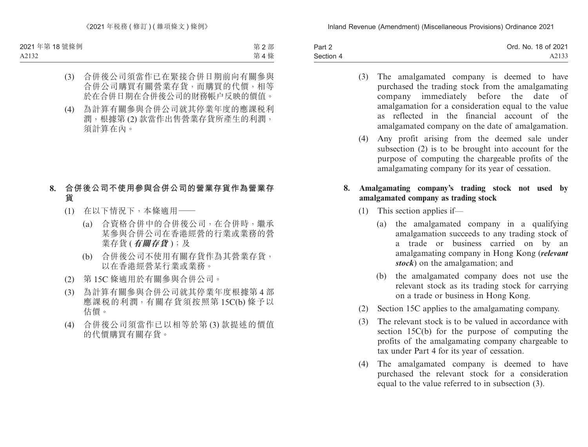| Part 2    | Ord. No. 18 of 2021 |
|-----------|---------------------|
| Section 4 | A2133               |

- (3) The amalgamated company is deemed to have purchased the trading stock from the amalgamating company immediately before the date of amalgamation for a consideration equal to the value as reflected in the financial account of the amalgamated company on the date of amalgamation.
- (4) Any profit arising from the deemed sale under subsection (2) is to be brought into account for the purpose of computing the chargeable profits of the amalgamating company for its year of cessation.

### **8. Amalgamating company's trading stock not used by amalgamated company as trading stock**

- (1) This section applies if—
	- (a) the amalgamated company in a qualifying amalgamation succeeds to any trading stock of a trade or business carried on by an amalgamating company in Hong Kong (*relevant stock*) on the amalgamation; and
	- (b) the amalgamated company does not use the relevant stock as its trading stock for carrying on a trade or business in Hong Kong.
- (2) Section 15C applies to the amalgamating company.
- (3) The relevant stock is to be valued in accordance with section 15C(b) for the purpose of computing the profits of the amalgamating company chargeable to tax under Part 4 for its year of cessation.
- (4) The amalgamated company is deemed to have purchased the relevant stock for a consideration equal to the value referred to in subsection (3).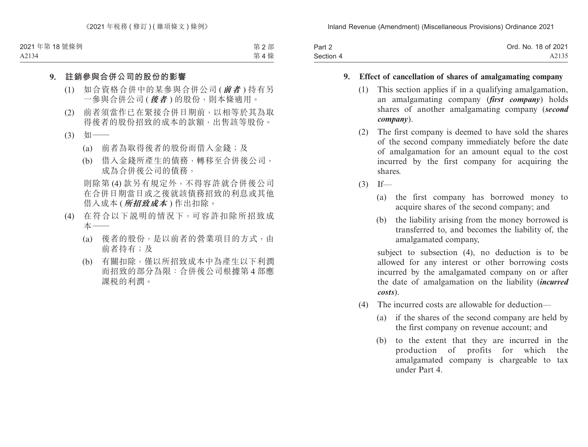| Part 2    | Ord. No. 18 of 2021 |
|-----------|---------------------|
| Section 4 | A2135               |

### **9. Effect of cancellation of shares of amalgamating company**

- (1) This section applies if in a qualifying amalgamation, an amalgamating company (*first company*) holds shares of another amalgamating company (*second company*).
- (2) The first company is deemed to have sold the shares of the second company immediately before the date of amalgamation for an amount equal to the cost incurred by the first company for acquiring the shares.
- $(3)$  If—
	- (a) the first company has borrowed money to acquire shares of the second company; and
	- (b) the liability arising from the money borrowed is transferred to, and becomes the liability of, the amalgamated company,

subject to subsection (4), no deduction is to be allowed for any interest or other borrowing costs incurred by the amalgamated company on or after the date of amalgamation on the liability (*incurred costs*).

- (4) The incurred costs are allowable for deduction—
	- (a) if the shares of the second company are held by the first company on revenue account; and
	- (b) to the extent that they are incurred in the production of profits for which the amalgamated company is chargeable to tax under Part 4.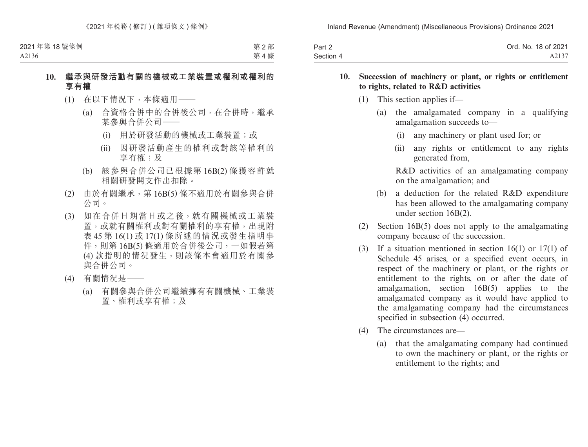| Part 2    | Ord. No. 18 of 2021 |
|-----------|---------------------|
| Section 4 | A2137               |

#### **10. Succession of machinery or plant, or rights or entitlement to rights, related to R&D activities**

- (1) This section applies if—
	- (a) the amalgamated company in a qualifying amalgamation succeeds to—
		- (i) any machinery or plant used for; or
		- (ii) any rights or entitlement to any rights generated from,

R&D activities of an amalgamating company on the amalgamation; and

- (b) a deduction for the related R&D expenditure has been allowed to the amalgamating company under section 16B(2).
- (2) Section 16B(5) does not apply to the amalgamating company because of the succession.
- (3) If a situation mentioned in section 16(1) or 17(1) of Schedule 45 arises, or a specified event occurs, in respect of the machinery or plant, or the rights or entitlement to the rights, on or after the date of amalgamation, section 16B(5) applies to the amalgamated company as it would have applied to the amalgamating company had the circumstances specified in subsection (4) occurred.
- (4) The circumstances are—
	- (a) that the amalgamating company had continued to own the machinery or plant, or the rights or entitlement to the rights; and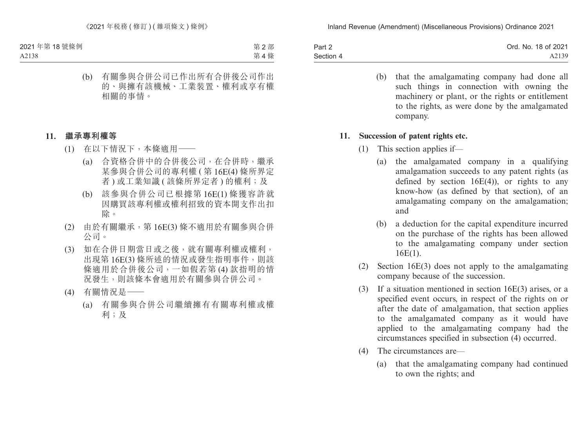| Part 2    | Ord. No. 18 of 2021 |
|-----------|---------------------|
| Section 4 | A2139               |

(b) that the amalgamating company had done all such things in connection with owning the machinery or plant, or the rights or entitlement to the rights, as were done by the amalgamated company.

#### **11. Succession of patent rights etc.**

- (1) This section applies if—
	- (a) the amalgamated company in a qualifying amalgamation succeeds to any patent rights (as defined by section  $16E(4)$ , or rights to any know-how (as defined by that section), of an amalgamating company on the amalgamation; and
	- (b) a deduction for the capital expenditure incurred on the purchase of the rights has been allowed to the amalgamating company under section 16E(1).
- (2) Section 16E(3) does not apply to the amalgamating company because of the succession.
- (3) If a situation mentioned in section 16E(3) arises, or a specified event occurs, in respect of the rights on or after the date of amalgamation, that section applies to the amalgamated company as it would have applied to the amalgamating company had the circumstances specified in subsection (4) occurred.
- (4) The circumstances are—
	- (a) that the amalgamating company had continued to own the rights; and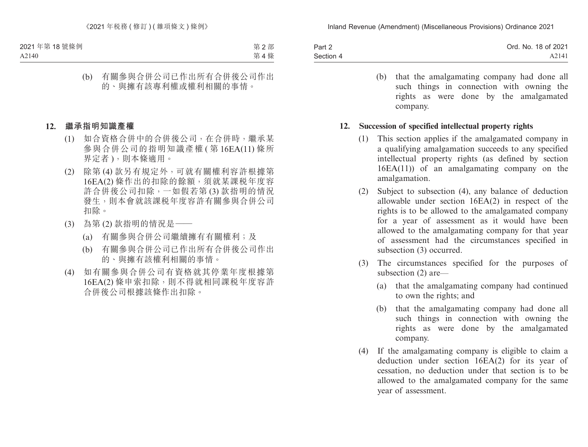| Part 2    | Ord. No. 18 of 2021 |
|-----------|---------------------|
| Section 4 | A2141               |

(b) that the amalgamating company had done all such things in connection with owning the rights as were done by the amalgamated company.

### **12. Succession of specified intellectual property rights**

- (1) This section applies if the amalgamated company in a qualifying amalgamation succeeds to any specified intellectual property rights (as defined by section 16EA(11)) of an amalgamating company on the amalgamation.
- (2) Subject to subsection (4), any balance of deduction allowable under section 16EA(2) in respect of the rights is to be allowed to the amalgamated company for a year of assessment as it would have been allowed to the amalgamating company for that year of assessment had the circumstances specified in subsection (3) occurred.
- (3) The circumstances specified for the purposes of subsection (2) are—
	- (a) that the amalgamating company had continued to own the rights; and
	- (b) that the amalgamating company had done all such things in connection with owning the rights as were done by the amalgamated company.
- (4) If the amalgamating company is eligible to claim a deduction under section 16EA(2) for its year of cessation, no deduction under that section is to be allowed to the amalgamated company for the same year of assessment.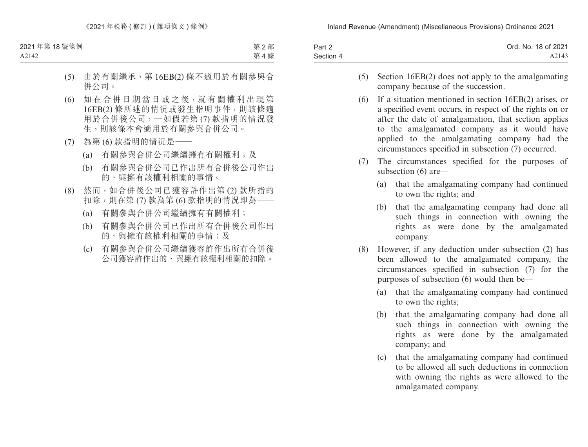| Part 2    | Ord. No. 18 of 2021 |
|-----------|---------------------|
| Section 4 | A2143               |

- (5) Section 16EB(2) does not apply to the amalgamating company because of the succession.
- (6) If a situation mentioned in section 16EB(2) arises, or a specified event occurs, in respect of the rights on or after the date of amalgamation, that section applies to the amalgamated company as it would have applied to the amalgamating company had the circumstances specified in subsection (7) occurred.
- (7) The circumstances specified for the purposes of subsection (6) are—
	- (a) that the amalgamating company had continued to own the rights; and
	- (b) that the amalgamating company had done all such things in connection with owning the rights as were done by the amalgamated company.
- (8) However, if any deduction under subsection (2) has been allowed to the amalgamated company, the circumstances specified in subsection (7) for the purposes of subsection (6) would then be—
	- (a) that the amalgamating company had continued to own the rights;
	- (b) that the amalgamating company had done all such things in connection with owning the rights as were done by the amalgamated company; and
	- (c) that the amalgamating company had continued to be allowed all such deductions in connection with owning the rights as were allowed to the amalgamated company.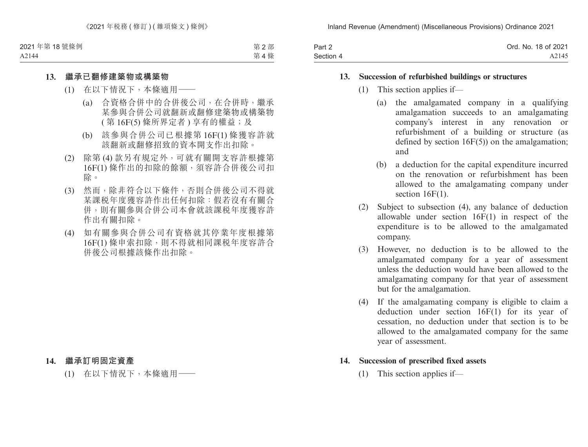| Part 2    | Ord. No. 18 of 2021 |
|-----------|---------------------|
| Section 4 | A2145               |

#### **13. Succession of refurbished buildings or structures**

- (1) This section applies if—
	- (a) the amalgamated company in a qualifying amalgamation succeeds to an amalgamating company's interest in any renovation or refurbishment of a building or structure (as defined by section 16F(5)) on the amalgamation; and
	- (b) a deduction for the capital expenditure incurred on the renovation or refurbishment has been allowed to the amalgamating company under section  $16F(1)$ .
- (2) Subject to subsection (4), any balance of deduction allowable under section 16F(1) in respect of the expenditure is to be allowed to the amalgamated company.
- (3) However, no deduction is to be allowed to the amalgamated company for a year of assessment unless the deduction would have been allowed to the amalgamating company for that year of assessment but for the amalgamation.
- (4) If the amalgamating company is eligible to claim a deduction under section 16F(1) for its year of cessation, no deduction under that section is to be allowed to the amalgamated company for the same year of assessment.

### **14. Succession of prescribed fixed assets**

(1) This section applies if—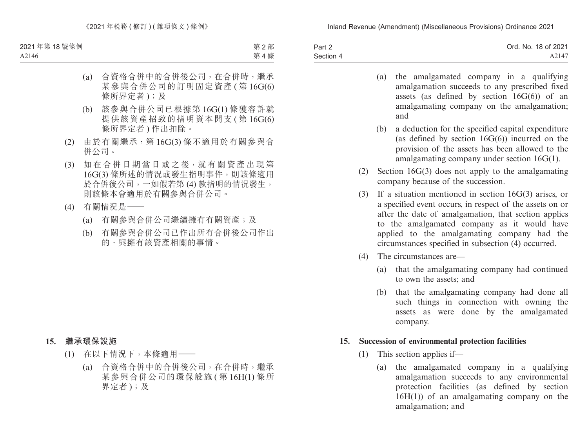| Part 2    | Ord. No. 18 of 2021 |
|-----------|---------------------|
| Section 4 | A2147               |

- (a) the amalgamated company in a qualifying amalgamation succeeds to any prescribed fixed assets (as defined by section  $16G(6)$ ) of an amalgamating company on the amalgamation; and
- (b) a deduction for the specified capital expenditure (as defined by section  $16G(6)$ ) incurred on the provision of the assets has been allowed to the amalgamating company under section 16G(1).
- (2) Section 16G(3) does not apply to the amalgamating company because of the succession.
- (3) If a situation mentioned in section 16G(3) arises, or a specified event occurs, in respect of the assets on or after the date of amalgamation, that section applies to the amalgamated company as it would have applied to the amalgamating company had the circumstances specified in subsection (4) occurred.
- (4) The circumstances are—
	- (a) that the amalgamating company had continued to own the assets; and
	- (b) that the amalgamating company had done all such things in connection with owning the assets as were done by the amalgamated company.

#### **15. Succession of environmental protection facilities**

- (1) This section applies if—
	- (a) the amalgamated company in a qualifying amalgamation succeeds to any environmental protection facilities (as defined by section 16H(1)) of an amalgamating company on the amalgamation; and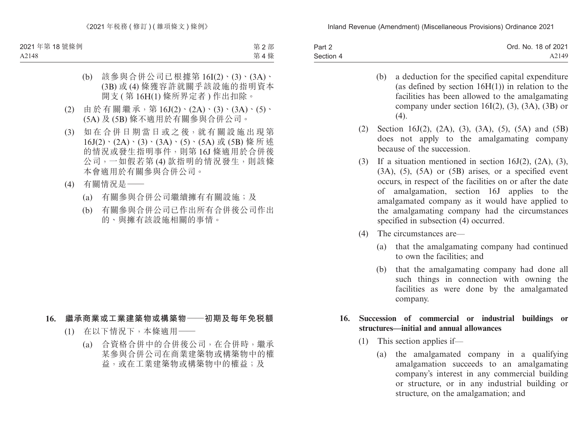| Part 2    | Ord. No. 18 of 2021 |
|-----------|---------------------|
| Section 4 | A2149               |

- (b) a deduction for the specified capital expenditure (as defined by section  $16H(1)$ ) in relation to the facilities has been allowed to the amalgamating company under section  $16I(2)$ ,  $(3)$ ,  $(3A)$ ,  $(3B)$  or  $(4)$ .
- (2) Section 16J(2), (2A), (3), (3A), (5), (5A) and (5B) does not apply to the amalgamating company because of the succession.
- (3) If a situation mentioned in section 16J(2), (2A), (3),  $(3A)$ ,  $(5)$ ,  $(5A)$  or  $(5B)$  arises, or a specified event occurs, in respect of the facilities on or after the date of amalgamation, section 16J applies to the amalgamated company as it would have applied to the amalgamating company had the circumstances specified in subsection (4) occurred.
- (4) The circumstances are—
	- (a) that the amalgamating company had continued to own the facilities; and
	- (b) that the amalgamating company had done all such things in connection with owning the facilities as were done by the amalgamated company.

### **16. Succession of commercial or industrial buildings or structures—initial and annual allowances**

- (1) This section applies if—
	- (a) the amalgamated company in a qualifying amalgamation succeeds to an amalgamating company's interest in any commercial building or structure, or in any industrial building or structure, on the amalgamation; and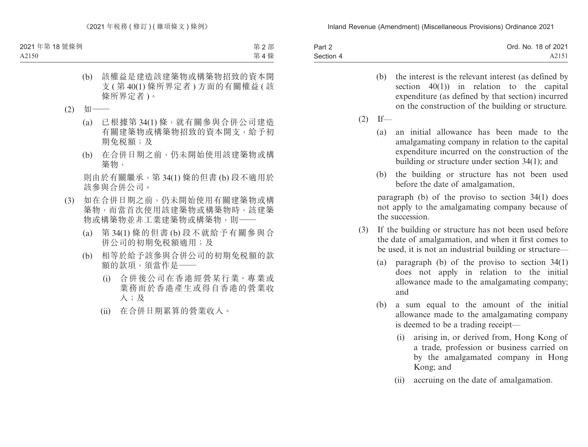| Part 2    | Ord. No. 18 of 2021 |
|-----------|---------------------|
| Section 4 | A2151               |

- (b) the interest is the relevant interest (as defined by section 40(1)) in relation to the capital expenditure (as defined by that section) incurred on the construction of the building or structure.
- $(2)$  If—
	- (a) an initial allowance has been made to the amalgamating company in relation to the capital expenditure incurred on the construction of the building or structure under section 34(1); and
	- (b) the building or structure has not been used before the date of amalgamation,

paragraph (b) of the proviso to section 34(1) does not apply to the amalgamating company because of the succession.

- (3) If the building or structure has not been used before the date of amalgamation, and when it first comes to be used, it is not an industrial building or structure—
	- (a) paragraph (b) of the proviso to section 34(1) does not apply in relation to the initial allowance made to the amalgamating company; and
	- (b) a sum equal to the amount of the initial allowance made to the amalgamating company is deemed to be a trading receipt—
		- (i) arising in, or derived from, Hong Kong of a trade, profession or business carried on by the amalgamated company in Hong Kong; and
		- (ii) accruing on the date of amalgamation.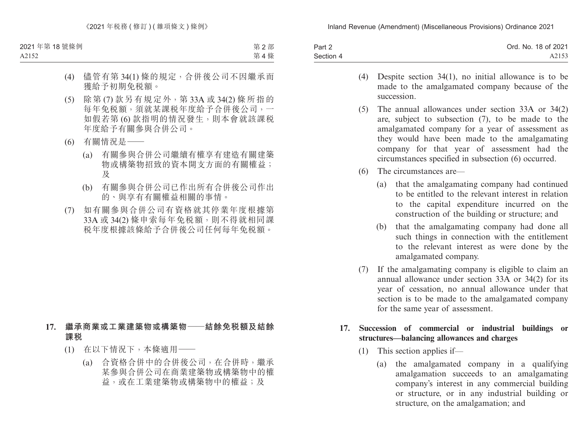| Part 2    | Ord. No. 18 of 2021 |
|-----------|---------------------|
| Section 4 | A2153               |

- (4) Despite section 34(1), no initial allowance is to be made to the amalgamated company because of the succession.
- (5) The annual allowances under section 33A or 34(2) are, subject to subsection (7), to be made to the amalgamated company for a year of assessment as they would have been made to the amalgamating company for that year of assessment had the circumstances specified in subsection (6) occurred.
- (6) The circumstances are—
	- (a) that the amalgamating company had continued to be entitled to the relevant interest in relation to the capital expenditure incurred on the construction of the building or structure; and
	- (b) that the amalgamating company had done all such things in connection with the entitlement to the relevant interest as were done by the amalgamated company.
- (7) If the amalgamating company is eligible to claim an annual allowance under section 33A or 34(2) for its year of cessation, no annual allowance under that section is to be made to the amalgamated company for the same year of assessment.

### **17. Succession of commercial or industrial buildings or structures—balancing allowances and charges**

- (1) This section applies if—
	- (a) the amalgamated company in a qualifying amalgamation succeeds to an amalgamating company's interest in any commercial building or structure, or in any industrial building or structure, on the amalgamation; and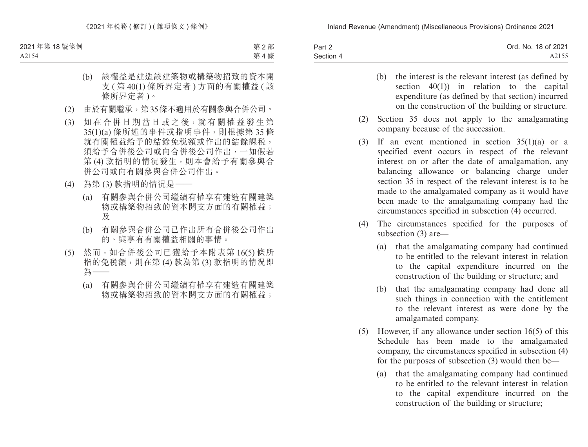| Part 2    | Ord. No. 18 of 2021 |
|-----------|---------------------|
| Section 4 | A2155               |

- (b) the interest is the relevant interest (as defined by section 40(1)) in relation to the capital expenditure (as defined by that section) incurred on the construction of the building or structure.
- (2) Section 35 does not apply to the amalgamating company because of the succession.
- (3) If an event mentioned in section 35(1)(a) or a specified event occurs in respect of the relevant interest on or after the date of amalgamation, any balancing allowance or balancing charge under section 35 in respect of the relevant interest is to be made to the amalgamated company as it would have been made to the amalgamating company had the circumstances specified in subsection (4) occurred.
- (4) The circumstances specified for the purposes of subsection (3) are—
	- (a) that the amalgamating company had continued to be entitled to the relevant interest in relation to the capital expenditure incurred on the construction of the building or structure; and
	- (b) that the amalgamating company had done all such things in connection with the entitlement to the relevant interest as were done by the amalgamated company.
- (5) However, if any allowance under section 16(5) of this Schedule has been made to the amalgamated company, the circumstances specified in subsection (4) for the purposes of subsection (3) would then be—
	- (a) that the amalgamating company had continued to be entitled to the relevant interest in relation to the capital expenditure incurred on the construction of the building or structure;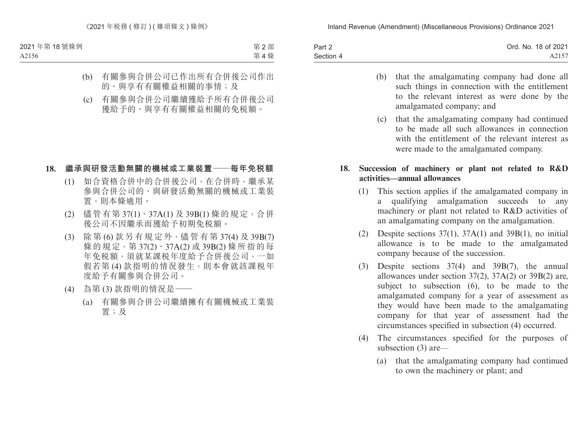| Part 2    | Ord. No. 18 of 2021 |
|-----------|---------------------|
| Section 4 | A2157               |

- (b) that the amalgamating company had done all such things in connection with the entitlement to the relevant interest as were done by the amalgamated company; and
- (c) that the amalgamating company had continued to be made all such allowances in connection with the entitlement of the relevant interest as were made to the amalgamated company.

### **18. Succession of machinery or plant not related to R&D activities—annual allowances**

- (1) This section applies if the amalgamated company in a qualifying amalgamation succeeds to any machinery or plant not related to R&D activities of an amalgamating company on the amalgamation.
- (2) Despite sections  $37(1)$ ,  $37A(1)$  and  $39B(1)$ , no initial allowance is to be made to the amalgamated company because of the succession.
- (3) Despite sections 37(4) and 39B(7), the annual allowances under section 37(2), 37A(2) or 39B(2) are, subject to subsection (6), to be made to the amalgamated company for a year of assessment as they would have been made to the amalgamating company for that year of assessment had the circumstances specified in subsection (4) occurred.
- (4) The circumstances specified for the purposes of subsection (3) are—
	- (a) that the amalgamating company had continued to own the machinery or plant; and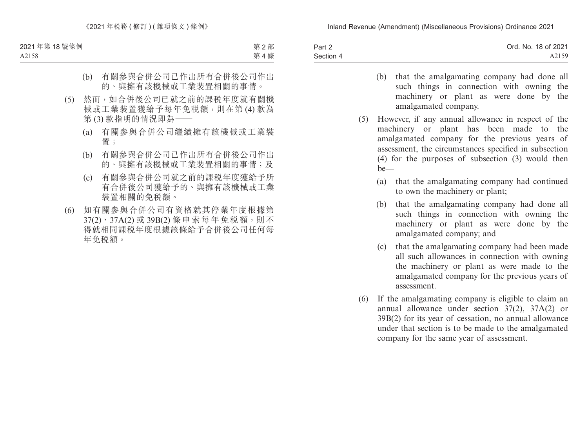| Part 2    | Ord. No. 18 of 2021 |
|-----------|---------------------|
| Section 4 | A2159               |

- (b) that the amalgamating company had done all such things in connection with owning the machinery or plant as were done by the amalgamated company.
- (5) However, if any annual allowance in respect of the machinery or plant has been made to the amalgamated company for the previous years of assessment, the circumstances specified in subsection (4) for the purposes of subsection (3) would then be—
	- (a) that the amalgamating company had continued to own the machinery or plant;
	- (b) that the amalgamating company had done all such things in connection with owning the machinery or plant as were done by the amalgamated company; and
	- (c) that the amalgamating company had been made all such allowances in connection with owning the machinery or plant as were made to the amalgamated company for the previous years of assessment.
- (6) If the amalgamating company is eligible to claim an annual allowance under section 37(2), 37A(2) or 39B(2) for its year of cessation, no annual allowance under that section is to be made to the amalgamated company for the same year of assessment.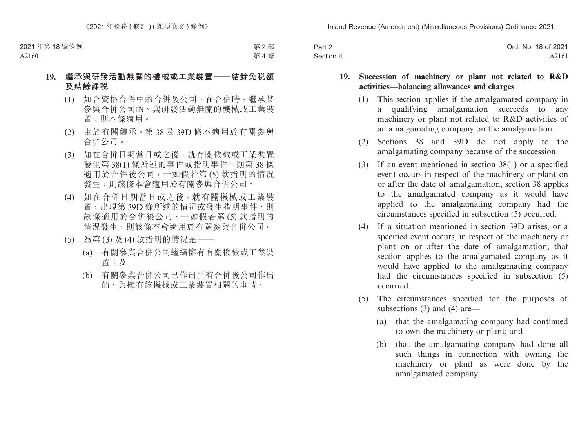| Part 2    | Ord. No. 18 of 2021 |
|-----------|---------------------|
| Section 4 | A2161               |

#### **19. Succession of machinery or plant not related to R&D activities—balancing allowances and charges**

- (1) This section applies if the amalgamated company in a qualifying amalgamation succeeds to any machinery or plant not related to R&D activities of an amalgamating company on the amalgamation.
- (2) Sections 38 and 39D do not apply to the amalgamating company because of the succession.
- (3) If an event mentioned in section 38(1) or a specified event occurs in respect of the machinery or plant on or after the date of amalgamation, section 38 applies to the amalgamated company as it would have applied to the amalgamating company had the circumstances specified in subsection (5) occurred.
- (4) If a situation mentioned in section 39D arises, or a specified event occurs, in respect of the machinery or plant on or after the date of amalgamation, that section applies to the amalgamated company as it would have applied to the amalgamating company had the circumstances specified in subsection (5) occurred.
- (5) The circumstances specified for the purposes of subsections (3) and (4) are—
	- (a) that the amalgamating company had continued to own the machinery or plant; and
	- (b) that the amalgamating company had done all such things in connection with owning the machinery or plant as were done by the amalgamated company.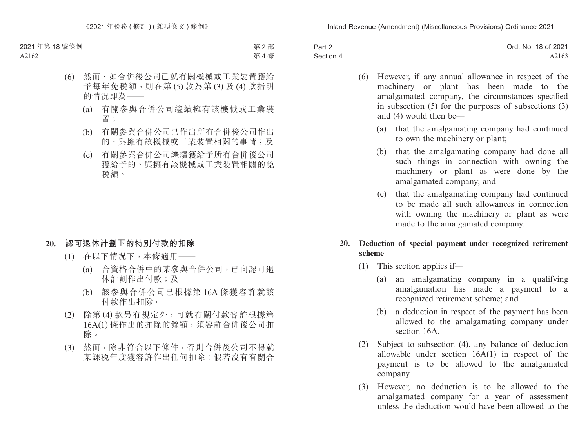| Part 2    | Ord. No. 18 of 2021 |
|-----------|---------------------|
| Section 4 | A2163               |

- (6) However, if any annual allowance in respect of the machinery or plant has been made to the amalgamated company, the circumstances specified in subsection (5) for the purposes of subsections (3) and (4) would then be—
	- (a) that the amalgamating company had continued to own the machinery or plant;
	- (b) that the amalgamating company had done all such things in connection with owning the machinery or plant as were done by the amalgamated company; and
	- (c) that the amalgamating company had continued to be made all such allowances in connection with owning the machinery or plant as were made to the amalgamated company.

### **20. Deduction of special payment under recognized retirement scheme**

- (1) This section applies if—
	- (a) an amalgamating company in a qualifying amalgamation has made a payment to a recognized retirement scheme; and
	- (b) a deduction in respect of the payment has been allowed to the amalgamating company under section 16A
- (2) Subject to subsection (4), any balance of deduction allowable under section 16A(1) in respect of the payment is to be allowed to the amalgamated company.
- (3) However, no deduction is to be allowed to the amalgamated company for a year of assessment unless the deduction would have been allowed to the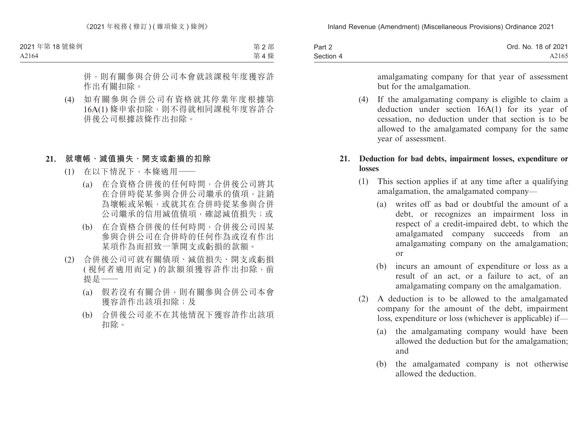| Part 2    | Ord. No. 18 of 2021 |
|-----------|---------------------|
| Section 4 | A2165               |

amalgamating company for that year of assessment but for the amalgamation.

(4) If the amalgamating company is eligible to claim a deduction under section 16A(1) for its year of cessation, no deduction under that section is to be allowed to the amalgamated company for the same year of assessment.

### **21. Deduction for bad debts, impairment losses, expenditure or losses**

- (1) This section applies if at any time after a qualifying amalgamation, the amalgamated company—
	- (a) writes off as bad or doubtful the amount of a debt, or recognizes an impairment loss in respect of a credit-impaired debt, to which the amalgamated company succeeds from an amalgamating company on the amalgamation; or
	- (b) incurs an amount of expenditure or loss as a result of an act, or a failure to act, of an amalgamating company on the amalgamation.
- (2) A deduction is to be allowed to the amalgamated company for the amount of the debt, impairment loss, expenditure or loss (whichever is applicable) if—
	- (a) the amalgamating company would have been allowed the deduction but for the amalgamation; and
	- (b) the amalgamated company is not otherwise allowed the deduction.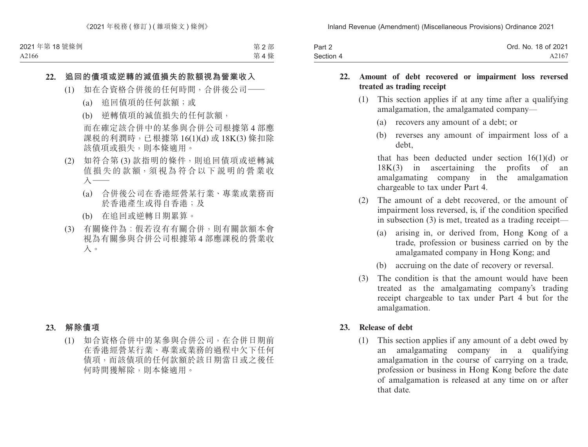| Part 2    | Ord. No. 18 of 2021 |
|-----------|---------------------|
| Section 4 | A2167               |

#### **22. Amount of debt recovered or impairment loss reversed treated as trading receipt**

- (1) This section applies if at any time after a qualifying amalgamation, the amalgamated company—
	- (a) recovers any amount of a debt; or
	- (b) reverses any amount of impairment loss of a debt,

that has been deducted under section  $16(1)(d)$  or 18K(3) in ascertaining the profits of an amalgamating company in the amalgamation chargeable to tax under Part 4.

- (2) The amount of a debt recovered, or the amount of impairment loss reversed, is, if the condition specified in subsection (3) is met, treated as a trading receipt—
	- (a) arising in, or derived from, Hong Kong of a trade, profession or business carried on by the amalgamated company in Hong Kong; and
	- (b) accruing on the date of recovery or reversal.
- (3) The condition is that the amount would have been treated as the amalgamating company's trading receipt chargeable to tax under Part 4 but for the amalgamation.

#### **23. Release of debt**

(1) This section applies if any amount of a debt owed by an amalgamating company in a qualifying amalgamation in the course of carrying on a trade, profession or business in Hong Kong before the date of amalgamation is released at any time on or after that date.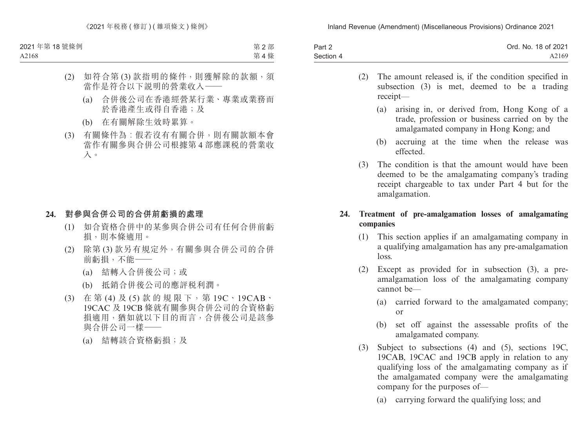| Part 2    | Ord. No. 18 of 2021 |
|-----------|---------------------|
| Section 4 | A2169               |

- (2) The amount released is, if the condition specified in subsection (3) is met, deemed to be a trading receipt—
	- (a) arising in, or derived from, Hong Kong of a trade, profession or business carried on by the amalgamated company in Hong Kong; and
	- (b) accruing at the time when the release was effected.
- (3) The condition is that the amount would have been deemed to be the amalgamating company's trading receipt chargeable to tax under Part 4 but for the amalgamation.

### **24. Treatment of pre-amalgamation losses of amalgamating companies**

- (1) This section applies if an amalgamating company in a qualifying amalgamation has any pre-amalgamation loss.
- (2) Except as provided for in subsection (3), a preamalgamation loss of the amalgamating company cannot be—
	- (a) carried forward to the amalgamated company; or
	- (b) set off against the assessable profits of the amalgamated company.
- (3) Subject to subsections (4) and (5), sections 19C, 19CAB, 19CAC and 19CB apply in relation to any qualifying loss of the amalgamating company as if the amalgamated company were the amalgamating company for the purposes of—
	- (a) carrying forward the qualifying loss; and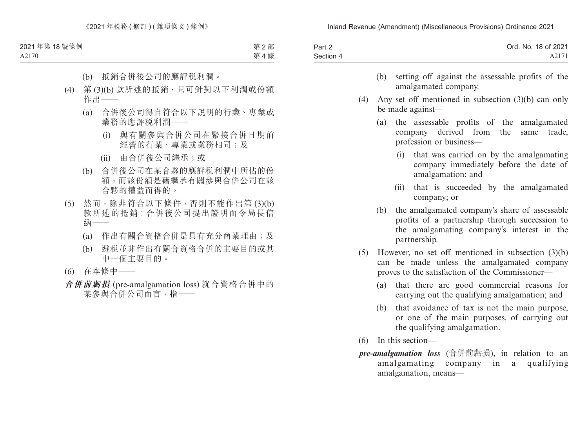| Part 2    | Ord. No. 18 of 2021 |
|-----------|---------------------|
| Section 4 | A2171               |

- (b) setting off against the assessable profits of the amalgamated company.
- (4) Any set off mentioned in subsection (3)(b) can only be made against—
	- (a) the assessable profits of the amalgamated company derived from the same trade, profession or business—
		- (i) that was carried on by the amalgamating company immediately before the date of amalgamation; and
		- (ii) that is succeeded by the amalgamated company; or
	- (b) the amalgamated company's share of assessable profits of a partnership through succession to the amalgamating company's interest in the partnership.
- (5) However, no set off mentioned in subsection (3)(b) can be made unless the amalgamated company proves to the satisfaction of the Commissioner—
	- (a) that there are good commercial reasons for carrying out the qualifying amalgamation; and
	- (b) that avoidance of tax is not the main purpose, or one of the main purposes, of carrying out the qualifying amalgamation.
- (6) In this section—
- *pre-amalgamation loss* (合併前虧損), in relation to an amalgamating company in a qualifying amalgamation, means—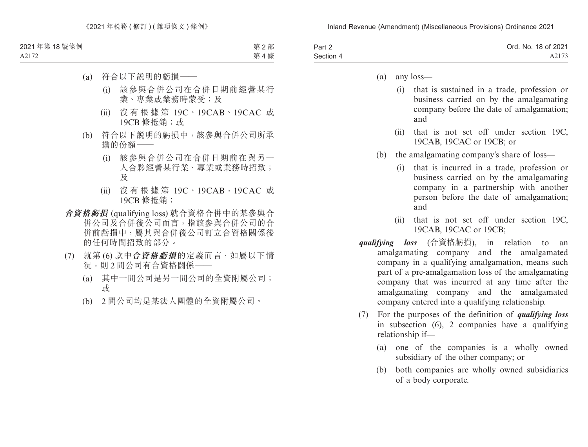| Part 2    | Ord. No. 18 of 2021 |
|-----------|---------------------|
| Section 4 | A2173               |

- (a) any loss—
	- (i) that is sustained in a trade, profession or business carried on by the amalgamating company before the date of amalgamation; and
	- (ii) that is not set off under section 19C, 19CAB, 19CAC or 19CB; or
- (b) the amalgamating company's share of loss—
	- (i) that is incurred in a trade, profession or business carried on by the amalgamating company in a partnership with another person before the date of amalgamation; and
	- (ii) that is not set off under section 19C, 19CAB, 19CAC or 19CB;
- *qualifying loss* (合資格虧損), in relation to an amalgamating company and the amalgamated company in a qualifying amalgamation, means such part of a pre-amalgamation loss of the amalgamating company that was incurred at any time after the amalgamating company and the amalgamated company entered into a qualifying relationship.
- (7) For the purposes of the definition of *qualifying loss*  in subsection (6), 2 companies have a qualifying relationship if—
	- (a) one of the companies is a wholly owned subsidiary of the other company; or
	- (b) both companies are wholly owned subsidiaries of a body corporate.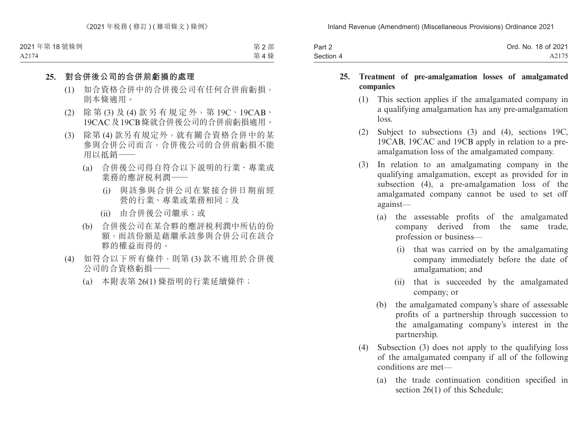| Part 2    | Ord. No. 18 of 2021 |
|-----------|---------------------|
| Section 4 | A2175               |

### **25. Treatment of pre-amalgamation losses of amalgamated companies**

- (1) This section applies if the amalgamated company in a qualifying amalgamation has any pre-amalgamation loss.
- (2) Subject to subsections (3) and (4), sections 19C, 19CAB, 19CAC and 19CB apply in relation to a preamalgamation loss of the amalgamated company.
- (3) In relation to an amalgamating company in the qualifying amalgamation, except as provided for in subsection (4), a pre-amalgamation loss of the amalgamated company cannot be used to set off against—
	- (a) the assessable profits of the amalgamated company derived from the same trade, profession or business—
		- (i) that was carried on by the amalgamating company immediately before the date of amalgamation; and
		- (ii) that is succeeded by the amalgamated company; or
	- (b) the amalgamated company's share of assessable profits of a partnership through succession to the amalgamating company's interest in the partnership.
- (4) Subsection (3) does not apply to the qualifying loss of the amalgamated company if all of the following conditions are met—
	- (a) the trade continuation condition specified in section 26(1) of this Schedule;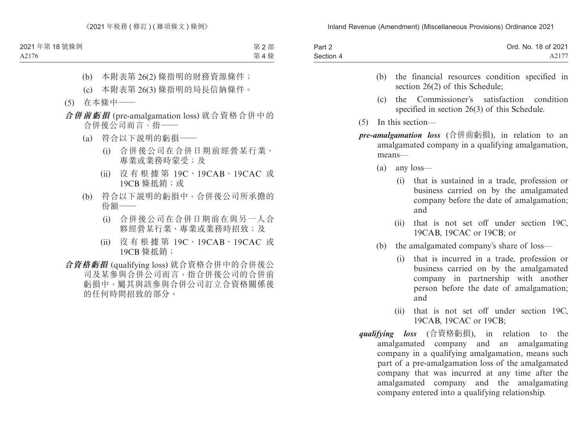| Part 2    | Ord. No. 18 of 2021 |
|-----------|---------------------|
| Section 4 | A2177               |

- (b) the financial resources condition specified in section 26(2) of this Schedule:
- (c) the Commissioner's satisfaction condition specified in section 26(3) of this Schedule.
- (5) In this section—
- *pre-amalgamation loss* (合併前虧損), in relation to an amalgamated company in a qualifying amalgamation, means—
	- (a) any loss—
		- (i) that is sustained in a trade, profession or business carried on by the amalgamated company before the date of amalgamation; and
		- (ii) that is not set off under section 19C, 19CAB, 19CAC or 19CB; or
	- (b) the amalgamated company's share of loss—
		- (i) that is incurred in a trade, profession or business carried on by the amalgamated company in partnership with another person before the date of amalgamation; and
		- (ii) that is not set off under section 19C, 19CAB, 19CAC or 19CB;
- *qualifying loss* (合資格虧損), in relation to the amalgamated company and an amalgamating company in a qualifying amalgamation, means such part of a pre-amalgamation loss of the amalgamated company that was incurred at any time after the amalgamated company and the amalgamating company entered into a qualifying relationship.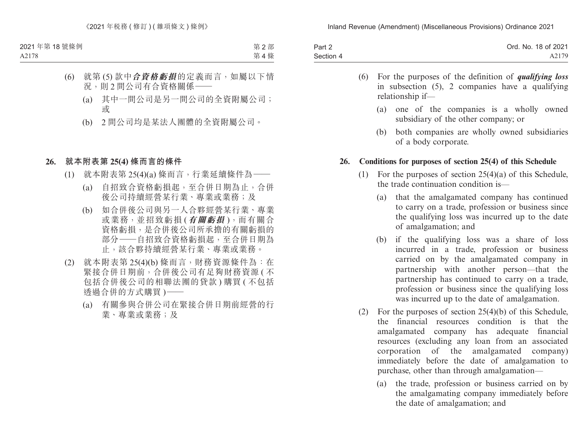| Part 2    | Ord. No. 18 of 2021 |
|-----------|---------------------|
| Section 4 | A2179               |

- (6) For the purposes of the definition of *qualifying loss* in subsection (5), 2 companies have a qualifying relationship if—
	- (a) one of the companies is a wholly owned subsidiary of the other company; or
	- (b) both companies are wholly owned subsidiaries of a body corporate.

### **26. Conditions for purposes of section 25(4) of this Schedule**

- (1) For the purposes of section 25(4)(a) of this Schedule, the trade continuation condition is—
	- (a) that the amalgamated company has continued to carry on a trade, profession or business since the qualifying loss was incurred up to the date of amalgamation; and
	- (b) if the qualifying loss was a share of loss incurred in a trade, profession or business carried on by the amalgamated company in partnership with another person—that the partnership has continued to carry on a trade, profession or business since the qualifying loss was incurred up to the date of amalgamation.
- (2) For the purposes of section 25(4)(b) of this Schedule, the financial resources condition is that the amalgamated company has adequate financial resources (excluding any loan from an associated corporation of the amalgamated company) immediately before the date of amalgamation to purchase, other than through amalgamation—
	- (a) the trade, profession or business carried on by the amalgamating company immediately before the date of amalgamation; and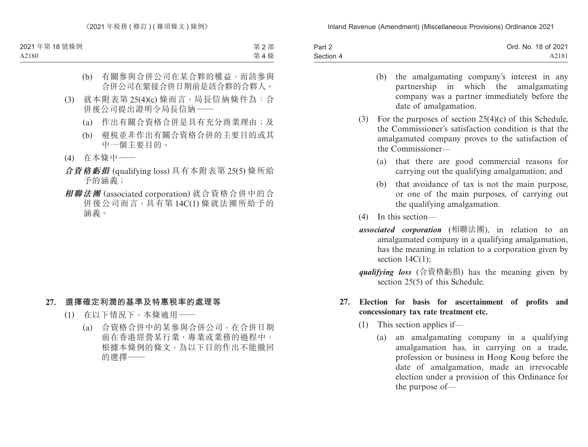| Part 2    | Ord. No. 18 of 2021 |
|-----------|---------------------|
| Section 4 | A2181               |

- (b) the amalgamating company's interest in any partnership in which the amalgamating partnership in which the amalgamating company was a partner immediately before the date of amalgamation.
- (3) For the purposes of section 25(4)(c) of this Schedule, the Commissioner's satisfaction condition is that the amalgamated company proves to the satisfaction of the Commissioner—
	- (a) that there are good commercial reasons for carrying out the qualifying amalgamation; and
	- (b) that avoidance of tax is not the main purpose, or one of the main purposes, of carrying out the qualifying amalgamation.
- (4) In this section—
- *associated corporation* (相聯法團), in relation to an amalgamated company in a qualifying amalgamation, has the meaning in relation to a corporation given by section  $14C(1)$ ;
- *qualifying loss* (合資格虧損) has the meaning given by section 25(5) of this Schedule.

### **27. Election for basis for ascertainment of profits and concessionary tax rate treatment etc.**

- (1) This section applies if—
	- (a) an amalgamating company in a qualifying amalgamation has, in carrying on a trade, profession or business in Hong Kong before the date of amalgamation, made an irrevocable election under a provision of this Ordinance for the purpose of—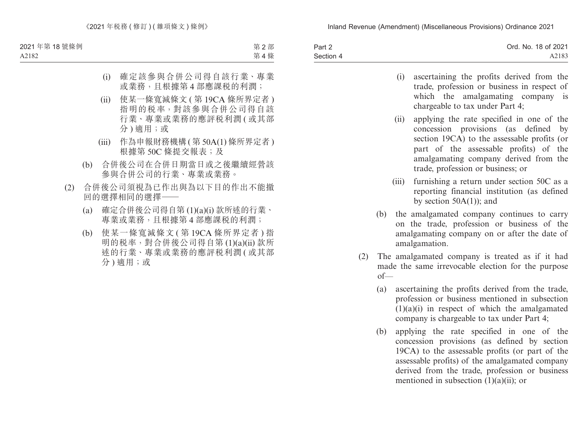| Part 2    | Ord. No. 18 of 2021 |
|-----------|---------------------|
| Section 4 | A2183               |

- (i) ascertaining the profits derived from the trade, profession or business in respect of which the amalgamating company is chargeable to tax under Part 4;
- (ii) applying the rate specified in one of the concession provisions (as defined by section 19CA) to the assessable profits (or part of the assessable profits) of the amalgamating company derived from the trade, profession or business; or
- (iii) furnishing a return under section 50C as a reporting financial institution (as defined by section  $50A(1)$ ; and
- (b) the amalgamated company continues to carry on the trade, profession or business of the amalgamating company on or after the date of amalgamation.
- (2) The amalgamated company is treated as if it had made the same irrevocable election for the purpose of—
	- (a) ascertaining the profits derived from the trade, profession or business mentioned in subsection  $(1)(a)(i)$  in respect of which the amalgamated company is chargeable to tax under Part 4;
	- (b) applying the rate specified in one of the concession provisions (as defined by section 19CA) to the assessable profits (or part of the assessable profits) of the amalgamated company derived from the trade, profession or business mentioned in subsection  $(1)(a)(ii)$ ; or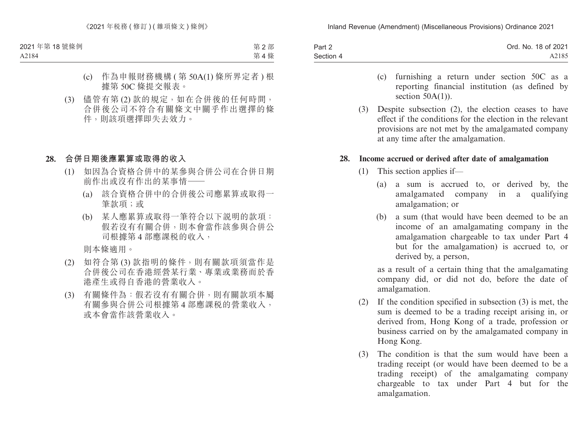| Part 2    | Ord. No. 18 of 2021 |
|-----------|---------------------|
| Section 4 | A2185               |

- (c) furnishing a return under section 50C as a reporting financial institution (as defined by section  $50A(1)$ ).
- (3) Despite subsection (2), the election ceases to have effect if the conditions for the election in the relevant provisions are not met by the amalgamated company at any time after the amalgamation.

#### **28. Income accrued or derived after date of amalgamation**

- (1) This section applies if—
	- (a) a sum is accrued to, or derived by, the amalgamated company in a qualifying amalgamation; or
	- (b) a sum (that would have been deemed to be an income of an amalgamating company in the amalgamation chargeable to tax under Part 4 but for the amalgamation) is accrued to, or derived by, a person,

as a result of a certain thing that the amalgamating company did, or did not do, before the date of amalgamation.

- (2) If the condition specified in subsection (3) is met, the sum is deemed to be a trading receipt arising in, or derived from, Hong Kong of a trade, profession or business carried on by the amalgamated company in Hong Kong.
- (3) The condition is that the sum would have been a trading receipt (or would have been deemed to be a trading receipt) of the amalgamating company chargeable to tax under Part 4 but for the amalgamation.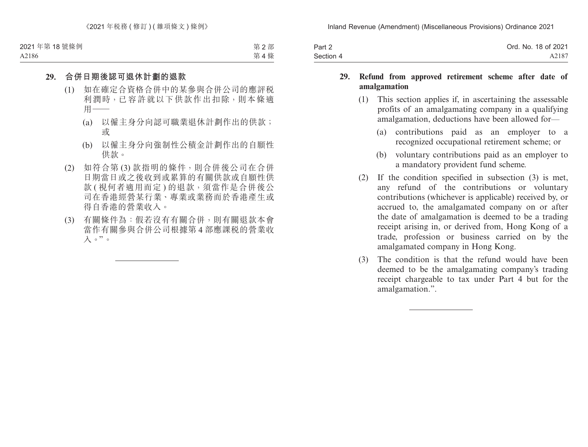| Part 2    | Ord. No. 18 of 2021 |
|-----------|---------------------|
| Section 4 | A2187               |

#### **29. Refund from approved retirement scheme after date of amalgamation**

- (1) This section applies if, in ascertaining the assessable profits of an amalgamating company in a qualifying amalgamation, deductions have been allowed for—
	- (a) contributions paid as an employer to a recognized occupational retirement scheme; or
	- (b) voluntary contributions paid as an employer to a mandatory provident fund scheme.
- (2) If the condition specified in subsection (3) is met, any refund of the contributions or voluntary contributions (whichever is applicable) received by, or accrued to, the amalgamated company on or after the date of amalgamation is deemed to be a trading receipt arising in, or derived from, Hong Kong of a trade, profession or business carried on by the amalgamated company in Hong Kong.
- (3) The condition is that the refund would have been deemed to be the amalgamating company's trading receipt chargeable to tax under Part 4 but for the amalgamation.".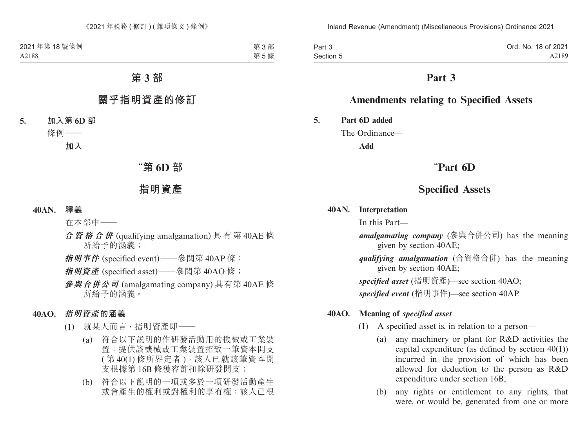Part 3 Section 5 Ord. No. 18 of 2021 A2189

## **Part 3**

## **Amendments relating to Specified Assets**

**5. Part 6D added**

The Ordinance—

**Add**

## "**Part 6D**

## **Specified Assets**

#### **40AN. Interpretation**

In this Part—

*amalgamating company* (參與合併公司) has the meaning given by section 40AE;

*qualifying amalgamation* (合資格合併) has the meaning given by section 40AE;

*specified asset* (指明資產)—see section 40AO;

*specified event* (指明事件)—see section 40AP.

#### **40AO. Meaning of** *specified asset*

- (1) A specified asset is, in relation to a person—
	- (a) any machinery or plant for R&D activities the capital expenditure (as defined by section 40(1)) incurred in the provision of which has been allowed for deduction to the person as R&D expenditure under section 16B;
	- (b) any rights or entitlement to any rights, that were, or would be, generated from one or more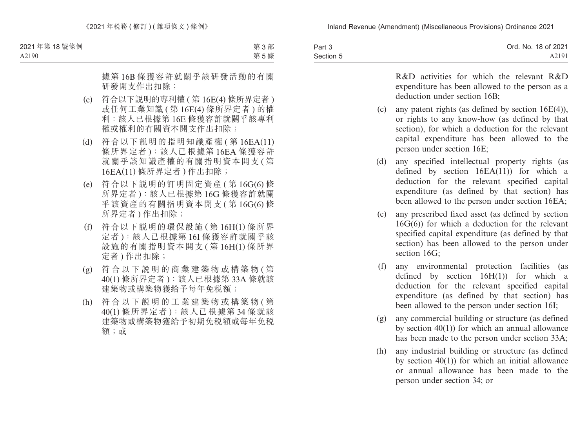| Part 3    | Ord. No. 18 of 2021 |
|-----------|---------------------|
| Section 5 | A2191               |

R&D activities for which the relevant R&D expenditure has been allowed to the person as a deduction under section 16B;

- (c) any patent rights (as defined by section 16E(4)), or rights to any know-how (as defined by that section), for which a deduction for the relevant capital expenditure has been allowed to the person under section 16E;
- (d) any specified intellectual property rights (as defined by section  $16EA(11)$  for which a deduction for the relevant specified capital expenditure (as defined by that section) has been allowed to the person under section 16EA;
- (e) any prescribed fixed asset (as defined by section 16G(6)) for which a deduction for the relevant specified capital expenditure (as defined by that section) has been allowed to the person under section 16G;
- (f) any environmental protection facilities (as defined by section  $16H(1)$  for which a deduction for the relevant specified capital expenditure (as defined by that section) has been allowed to the person under section 16I;
- (g) any commercial building or structure (as defined by section 40(1)) for which an annual allowance has been made to the person under section 33A;
- (h) any industrial building or structure (as defined by section  $40(1)$  for which an initial allowance or annual allowance has been made to the person under section 34; or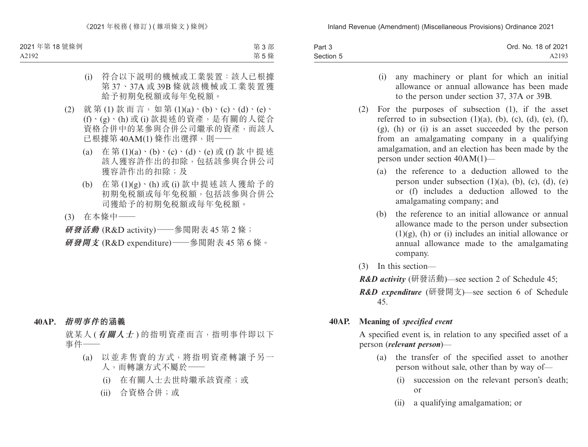| Part 3    | Ord. No. 18 of 2021 |
|-----------|---------------------|
| Section 5 | A2193               |

- (i) any machinery or plant for which an initial allowance or annual allowance has been made to the person under section 37, 37A or 39B.
- (2) For the purposes of subsection (1), if the asset referred to in subsection  $(1)(a)$ ,  $(b)$ ,  $(c)$ ,  $(d)$ ,  $(e)$ ,  $(f)$ , (g), (h) or (i) is an asset succeeded by the person from an amalgamating company in a qualifying amalgamation, and an election has been made by the person under section 40AM(1)—
	- (a) the reference to a deduction allowed to the person under subsection  $(1)(a)$ ,  $(b)$ ,  $(c)$ ,  $(d)$ ,  $(e)$ or (f) includes a deduction allowed to the amalgamating company; and
	- (b) the reference to an initial allowance or annual allowance made to the person under subsection  $(1)(g)$ , (h) or (i) includes an initial allowance or annual allowance made to the amalgamating company.
- (3) In this section—
- *R&D activity* (研發活動)—see section 2 of Schedule 45;
- *R&D expenditure* (研發開支)—see section 6 of Schedule 45.

### **40AP. Meaning of** *specified event*

A specified event is, in relation to any specified asset of a person (*relevant person*)—

- (a) the transfer of the specified asset to another person without sale, other than by way of—
	- (i) succession on the relevant person's death; or
	- (ii) a qualifying amalgamation; or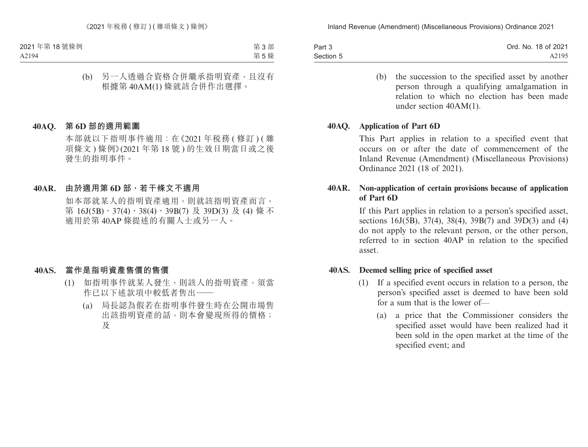| Part 3    | Ord. No. 18 of 2021 |
|-----------|---------------------|
| Section 5 | A2195               |

(b) the succession to the specified asset by another person through a qualifying amalgamation in relation to which no election has been made under section 40AM(1).

#### **40AQ. Application of Part 6D**

This Part applies in relation to a specified event that occurs on or after the date of commencement of the Inland Revenue (Amendment) (Miscellaneous Provisions) Ordinance 2021 (18 of 2021).

### **40AR. Non-application of certain provisions because of application of Part 6D**

If this Part applies in relation to a person's specified asset, sections 16J(5B), 37(4), 38(4), 39B(7) and 39D(3) and (4) do not apply to the relevant person, or the other person, referred to in section 40AP in relation to the specified asset.

#### **40AS. Deemed selling price of specified asset**

- (1) If a specified event occurs in relation to a person, the person's specified asset is deemed to have been sold for a sum that is the lower of—
	- (a) a price that the Commissioner considers the specified asset would have been realized had it been sold in the open market at the time of the specified event; and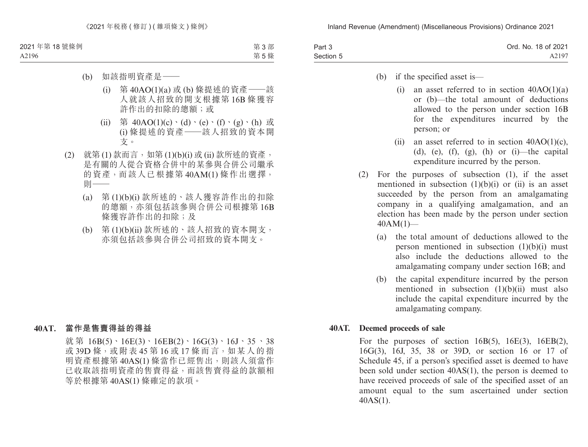| Part 3    | Ord. No. 18 of 2021 |
|-----------|---------------------|
| Section 5 | A2197               |

- (b) if the specified asset is—
	- (i) an asset referred to in section  $40AO(1)(a)$ or (b)—the total amount of deductions allowed to the person under section 16B for the expenditures incurred by the person; or
	- (ii) an asset referred to in section  $40AO(1)(c)$ , (d), (e), (f), (g), (h) or (i)—the capital expenditure incurred by the person.
- (2) For the purposes of subsection (1), if the asset mentioned in subsection  $(1)(b)(i)$  or  $(ii)$  is an asset succeeded by the person from an amalgamating company in a qualifying amalgamation, and an election has been made by the person under section  $40AM(1)$ —
	- (a) the total amount of deductions allowed to the person mentioned in subsection  $(1)(b)(i)$  must also include the deductions allowed to the amalgamating company under section 16B; and
	- (b) the capital expenditure incurred by the person mentioned in subsection (1)(b)(ii) must also include the capital expenditure incurred by the amalgamating company.

#### **40AT. Deemed proceeds of sale**

For the purposes of section  $16B(5)$ ,  $16E(3)$ ,  $16EB(2)$ , 16G(3), 16J, 35, 38 or 39D, or section 16 or 17 of Schedule 45, if a person's specified asset is deemed to have been sold under section 40AS(1), the person is deemed to have received proceeds of sale of the specified asset of an amount equal to the sum ascertained under section 40AS(1).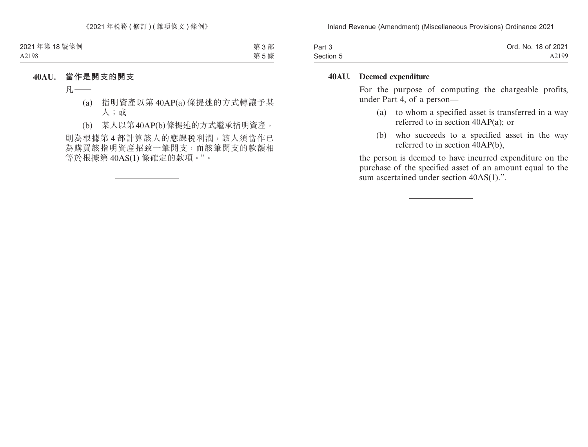| Part 3    | Ord. No. 18 of 2021 |
|-----------|---------------------|
| Section 5 | A2199               |

#### **40AU. Deemed expenditure**

For the purpose of computing the chargeable profits, under Part 4, of a person—

- (a) to whom a specified asset is transferred in a way referred to in section 40AP(a); or
- (b) who succeeds to a specified asset in the way referred to in section 40AP(b),

the person is deemed to have incurred expenditure on the purchase of the specified asset of an amount equal to the sum ascertained under section 40AS(1).".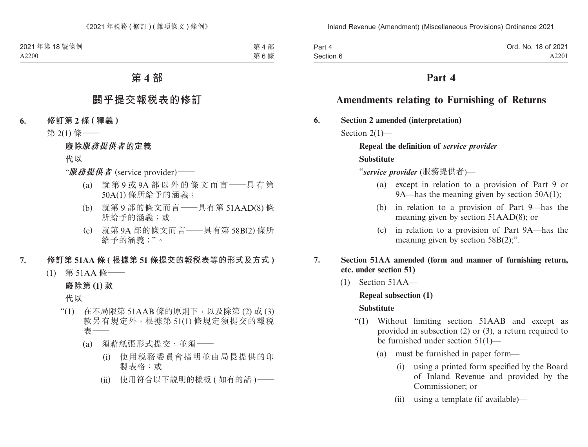| Part 4    | Ord. No. 18 of 2021 |
|-----------|---------------------|
| Section 6 | A2201               |

## **Part 4**

## **Amendments relating to Furnishing of Returns**

**6. Section 2 amended (interpretation)**

Section 2(1)-

**Repeal the definition of** *service provider* **Substitute**

"*service provider* (服務提供者)—

- (a) except in relation to a provision of Part 9 or 9A—has the meaning given by section 50A(1);
- (b) in relation to a provision of Part 9—has the meaning given by section 51AAD(8); or
- (c) in relation to a provision of Part 9A—has the meaning given by section 58B(2);".
- **7. Section 51AA amended (form and manner of furnishing return, etc. under section 51)**
	- (1) Section 51AA—

#### **Repeal subsection (1)**

#### **Substitute**

- "(1) Without limiting section 51AAB and except as provided in subsection (2) or (3), a return required to be furnished under section 51(1)—
	- (a) must be furnished in paper form—
		- (i) using a printed form specified by the Board of Inland Revenue and provided by the Commissioner; or
		- (ii) using a template (if available)—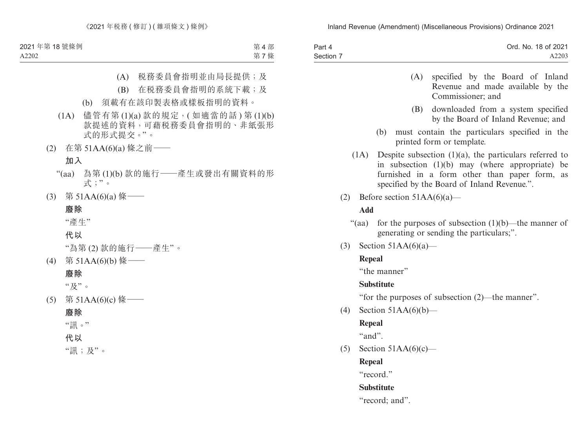| Part 4    | Ord. No. 18 of 2021 |
|-----------|---------------------|
| Section 7 | A2203               |

- (A) specified by the Board of Inland Revenue and made available by the Commissioner; and
- (B) downloaded from a system specified by the Board of Inland Revenue; and
- (b) must contain the particulars specified in the printed form or template.
- (1A) Despite subsection (1)(a), the particulars referred to in subsection (1)(b) may (where appropriate) be furnished in a form other than paper form, as specified by the Board of Inland Revenue.".
- (2) Before section  $51AA(6)(a)$ —

### **Add**

- "(aa) for the purposes of subsection  $(1)(b)$ —the manner of generating or sending the particulars;".
- (3) Section  $51AA(6)(a)$ —

### **Repeal**

"the manner"

### **Substitute**

"for the purposes of subsection (2)—the manner".

(4) Section 51AA(6)(b)—

## **Repeal**

 $``and"$ 

(5) Section  $51AA(6)(c)$ —

**Repeal**

"record."

## **Substitute**

"record; and".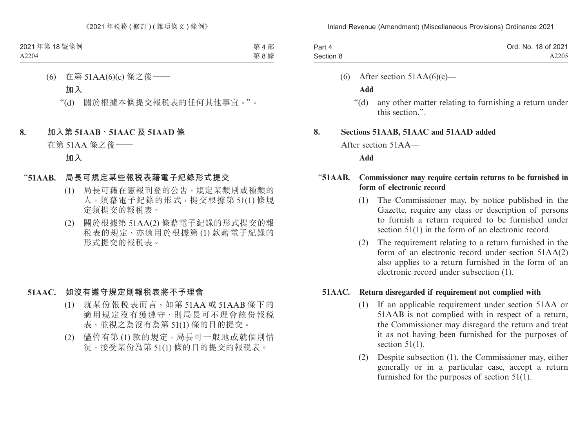| Part 4    | Ord. No. 18 of 2021 |
|-----------|---------------------|
| Section 8 | A2205               |

(6) After section  $51AA(6)(c)$ —

**Add**

"(d) any other matter relating to furnishing a return under this section.".

#### **8. Sections 51AAB, 51AAC and 51AAD added**

After section 51AA—

#### **Add**

### "**51AAB. Commissioner may require certain returns to be furnished in form of electronic record**

- (1) The Commissioner may, by notice published in the Gazette, require any class or description of persons to furnish a return required to be furnished under section 51(1) in the form of an electronic record.
- (2) The requirement relating to a return furnished in the form of an electronic record under section 51AA(2) also applies to a return furnished in the form of an electronic record under subsection (1).

### **51AAC. Return disregarded if requirement not complied with**

- (1) If an applicable requirement under section 51AA or 51AAB is not complied with in respect of a return, the Commissioner may disregard the return and treat it as not having been furnished for the purposes of section  $51(1)$ .
- (2) Despite subsection (1), the Commissioner may, either generally or in a particular case, accept a return furnished for the purposes of section 51(1).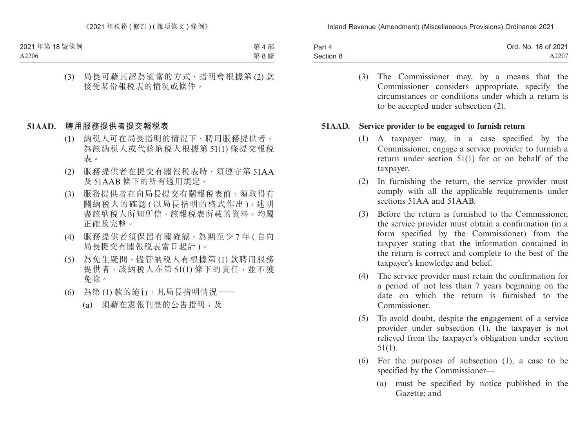| Part 4    | Ord. No. 18 of 2021 |
|-----------|---------------------|
| Section 8 | A2207               |

(3) The Commissioner may, by a means that the Commissioner considers appropriate, specify the circumstances or conditions under which a return is to be accepted under subsection (2).

#### **51AAD. Service provider to be engaged to furnish return**

- (1) A taxpayer may, in a case specified by the Commissioner, engage a service provider to furnish a return under section 51(1) for or on behalf of the taxpayer.
- (2) In furnishing the return, the service provider must comply with all the applicable requirements under sections 51AA and 51AAB.
- (3) Before the return is furnished to the Commissioner, the service provider must obtain a confirmation (in a form specified by the Commissioner) from the taxpayer stating that the information contained in the return is correct and complete to the best of the taxpayer's knowledge and belief.
- (4) The service provider must retain the confirmation for a period of not less than 7 years beginning on the date on which the return is furnished to the Commissioner.
- (5) To avoid doubt, despite the engagement of a service provider under subsection (1), the taxpayer is not relieved from the taxpayer's obligation under section 51(1).
- (6) For the purposes of subsection (1), a case to be specified by the Commissioner—
	- (a) must be specified by notice published in the Gazette; and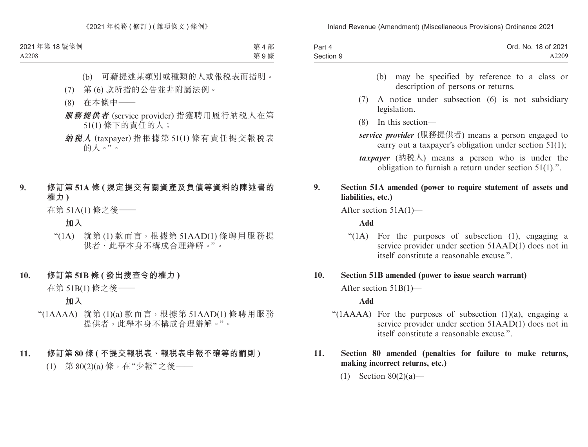| Part 4    | Ord. No. 18 of 2021 |
|-----------|---------------------|
| Section 9 | A2209               |

- (b) may be specified by reference to a class or description of persons or returns.
- (7) A notice under subsection (6) is not subsidiary legislation.
- (8) In this section—
- *service provider* (服務提供者) means a person engaged to carry out a taxpayer's obligation under section 51(1);
- *taxpayer* (納稅人) means a person who is under the obligation to furnish a return under section 51(1).".

### **9. Section 51A amended (power to require statement of assets and liabilities, etc.)**

After section 51A(1)—

**Add**

"(1A) For the purposes of subsection (1), engaging a service provider under section 51AAD(1) does not in itself constitute a reasonable excuse.".

### **10. Section 51B amended (power to issue search warrant)**

After section 51B(1)—

### **Add**

"( $1AAAA$ ) For the purposes of subsection  $(1)(a)$ , engaging a service provider under section 51AAD(1) does not in itself constitute a reasonable excuse."

### **11. Section 80 amended (penalties for failure to make returns, making incorrect returns, etc.)**

(1) Section 80(2)(a)—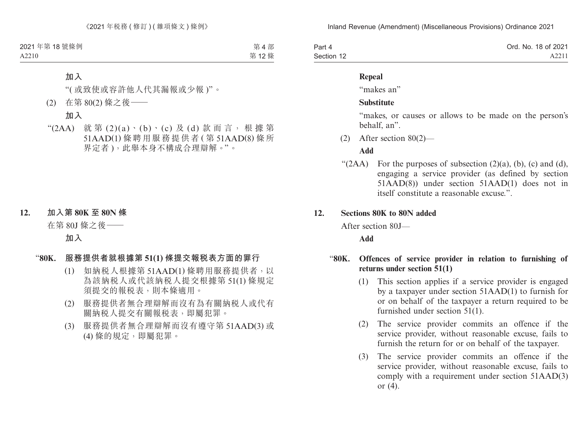| Part 4     | Ord. No. 18 of 2021 |
|------------|---------------------|
| Section 12 | A2211               |

#### **Repeal**

"makes an"

#### **Substitute**

"makes, or causes or allows to be made on the person's behalf, an".

(2) After section 80(2)—

#### **Add**

" $(2AA)$  For the purposes of subsection  $(2)(a)$ ,  $(b)$ ,  $(c)$  and  $(d)$ , engaging a service provider (as defined by section 51AAD(8)) under section 51AAD(1) does not in itself constitute a reasonable excuse."

#### **12. Sections 80K to 80N added**

After section 80J—

#### **Add**

### "**80K. Offences of service provider in relation to furnishing of returns under section 51(1)**

- (1) This section applies if a service provider is engaged by a taxpayer under section 51AAD(1) to furnish for or on behalf of the taxpayer a return required to be furnished under section 51(1).
- (2) The service provider commits an offence if the service provider, without reasonable excuse, fails to furnish the return for or on behalf of the taxpayer.
- (3) The service provider commits an offence if the service provider, without reasonable excuse, fails to comply with a requirement under section 51AAD(3) or (4).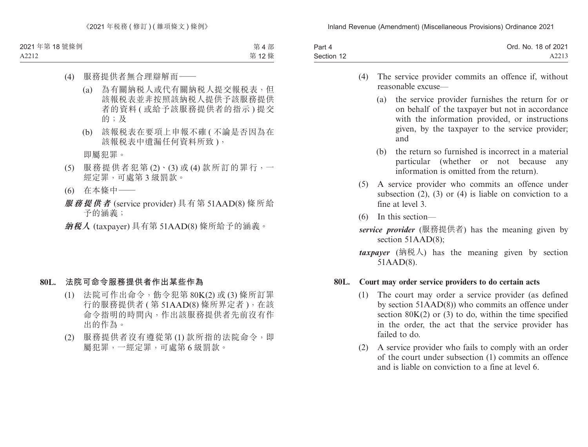| Part 4     | Ord. No. 18 of 2021 |
|------------|---------------------|
| Section 12 | A2213               |

- (4) The service provider commits an offence if, without reasonable excuse—
	- (a) the service provider furnishes the return for or on behalf of the taxpayer but not in accordance with the information provided, or instructions given, by the taxpayer to the service provider; and
	- (b) the return so furnished is incorrect in a material particular (whether or not because any information is omitted from the return).
- (5) A service provider who commits an offence under subsection  $(2)$ ,  $(3)$  or  $(4)$  is liable on conviction to a fine at level 3.
- (6) In this section—
- *service provider* (服務提供者) has the meaning given by section 51AAD(8);
- *(納税人) has the meaning given by section* 51AAD(8).

#### **80L. Court may order service providers to do certain acts**

- (1) The court may order a service provider (as defined by section 51AAD(8)) who commits an offence under section  $80K(2)$  or (3) to do, within the time specified in the order, the act that the service provider has failed to do.
- (2) A service provider who fails to comply with an order of the court under subsection (1) commits an offence and is liable on conviction to a fine at level 6.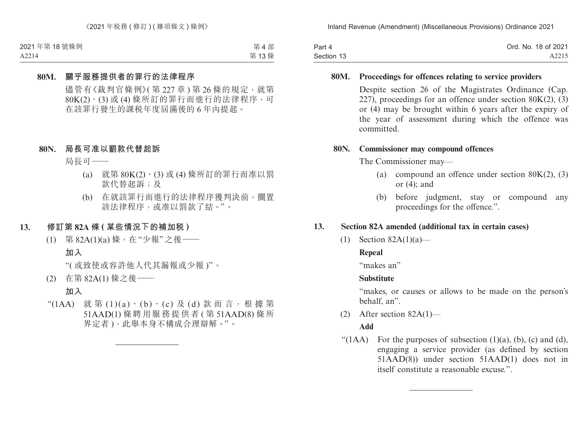| Part 4     | Ord. No. 18 of 2021 |
|------------|---------------------|
| Section 13 | A2215               |

#### **80M. Proceedings for offences relating to service providers**

Despite section 26 of the Magistrates Ordinance (Cap. 227), proceedings for an offence under section  $80K(2)$ , (3) or (4) may be brought within 6 years after the expiry of the year of assessment during which the offence was committed.

#### **80N. Commissioner may compound offences**

The Commissioner may—

- (a) compound an offence under section  $80K(2)$ , (3) or (4); and
- (b) before judgment, stay or compound any proceedings for the offence.".

### **13. Section 82A amended (additional tax in certain cases)**

(1) Section 82A(1)(a)—

### **Repeal**

"makes an"

### **Substitute**

"makes, or causes or allows to be made on the person's behalf, an".

(2) After section 82A(1)—

### **Add**

" $(1AA)$  For the purposes of subsection  $(1)(a)$ ,  $(b)$ ,  $(c)$  and  $(d)$ , engaging a service provider (as defined by section 51AAD(8)) under section 51AAD(1) does not in itself constitute a reasonable excuse.".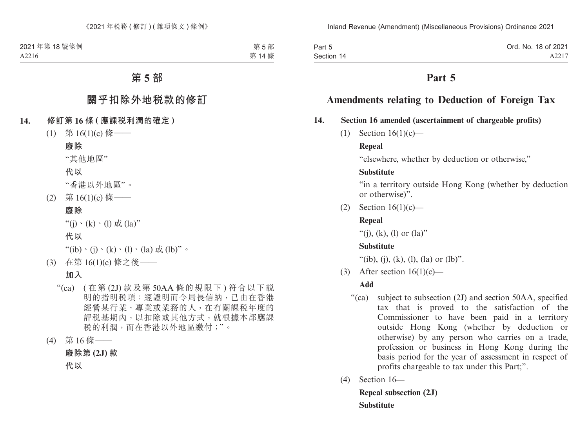Part 5 Section 14 Ord. No. 18 of 2021 A2217

## **Part 5**

# **Amendments relating to Deduction of Foreign Tax**

### **14. Section 16 amended (ascertainment of chargeable profits)**

(1) Section 16(1)(c)—

### **Repeal**

"elsewhere, whether by deduction or otherwise,"

### **Substitute**

"in a territory outside Hong Kong (whether by deduction or otherwise)".

(2) Section  $16(1)(c)$ —

### **Repeal**

"(i), (k), (l) or  $(la)$ "

### **Substitute**

"(ib), (j), (k), (l), (la) or (lb)".

(3) After section  $16(1)(c)$ —

### **Add**

- "(ca) subject to subsection (2J) and section 50AA, specified tax that is proved to the satisfaction of the Commissioner to have been paid in a territory outside Hong Kong (whether by deduction or otherwise) by any person who carries on a trade, profession or business in Hong Kong during the basis period for the year of assessment in respect of profits chargeable to tax under this Part;".
- (4) Section 16—

**Repeal subsection (2J) Substitute**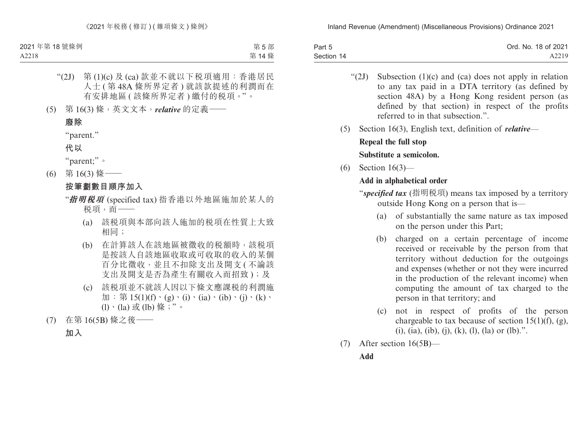| Part 5     | Ord. No. 18 of 2021 |
|------------|---------------------|
| Section 14 | A2219               |

- " $(2J)$  Subsection  $(1)(c)$  and  $(ca)$  does not apply in relation to any tax paid in a DTA territory (as defined by section 48A) by a Hong Kong resident person (as defined by that section) in respect of the profits referred to in that subsection."
- (5) Section 16(3), English text, definition of *relative*—

### **Repeal the full stop Substitute a semicolon.**

(6) Section 16(3)—

## **Add in alphabetical order**

"*specified tax* (指明稅項) means tax imposed by a territory outside Hong Kong on a person that is—

- (a) of substantially the same nature as tax imposed on the person under this Part;
- (b) charged on a certain percentage of income received or receivable by the person from that territory without deduction for the outgoings and expenses (whether or not they were incurred in the production of the relevant income) when computing the amount of tax charged to the person in that territory; and
- (c) not in respect of profits of the person chargeable to tax because of section 15(1)(f), (g), (i), (ia), (ib), (i), (k), (l), (la) or (lb).".
- (7) After section 16(5B)—

### **Add**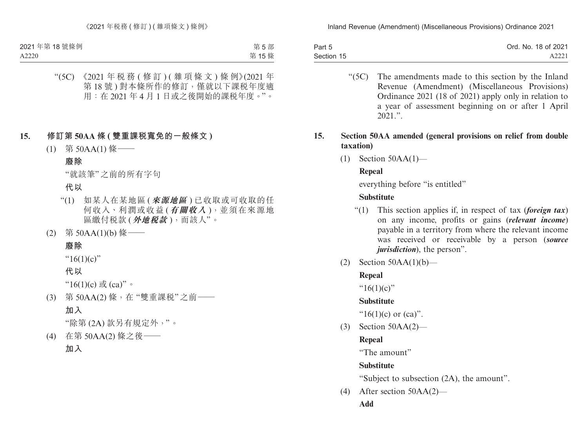| Part 5     | Ord. No. 18 of 2021 |
|------------|---------------------|
| Section 15 | A2221               |

"(5C) The amendments made to this section by the Inland Revenue (Amendment) (Miscellaneous Provisions) Ordinance 2021 (18 of 2021) apply only in relation to a year of assessment beginning on or after 1 April  $2021$  ".

### **15. Section 50AA amended (general provisions on relief from double taxation)**

(1) Section 50AA(1)—

## **Repeal**

everything before "is entitled"

## **Substitute**

- "(1) This section applies if, in respect of tax (*foreign tax*) on any income, profits or gains (*relevant income*) payable in a territory from where the relevant income was received or receivable by a person (*source jurisdiction*), the person".
- (2) Section  $50AA(1)(b)$ —

## **Repeal**

" $16(1)(c)$ "

## **Substitute**

" $16(1)(c)$  or  $(ca)$ ".

(3) Section 50AA(2)—

# **Repeal**

"The amount"

## **Substitute**

"Subject to subsection (2A), the amount".

- (4) After section 50AA(2)—
	- **Add**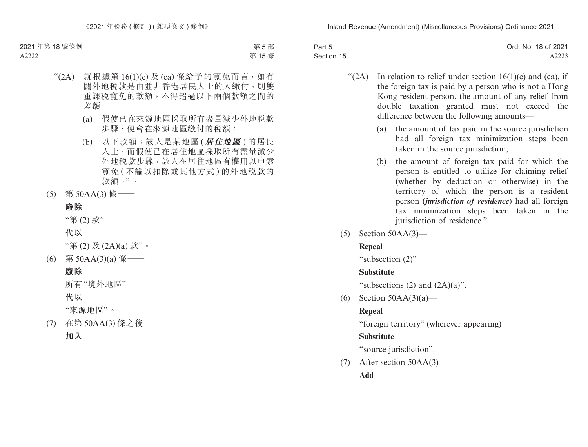| Part 5     | Ord. No. 18 of 2021 |
|------------|---------------------|
| Section 15 | A2223               |

" $(2A)$  In relation to relief under section 16(1)(c) and (ca), if the foreign tax is paid by a person who is not a Hong Kong resident person, the amount of any relief from double taxation granted must not exceed the difference between the following amounts—

- (a) the amount of tax paid in the source jurisdiction had all foreign tax minimization steps been taken in the source jurisdiction;
- (b) the amount of foreign tax paid for which the person is entitled to utilize for claiming relief (whether by deduction or otherwise) in the territory of which the person is a resident person (*jurisdiction of residence*) had all foreign tax minimization steps been taken in the jurisdiction of residence.".
- (5) Section 50AA(3)—

## **Repeal**

"subsection (2)"

## **Substitute**

"subsections  $(2)$  and  $(2A)(a)$ ".

(6) Section  $50AA(3)(a)$ —

## **Repeal**

"foreign territory" (wherever appearing)

## **Substitute**

"source jurisdiction".

(7) After section 50AA(3)—

**Add**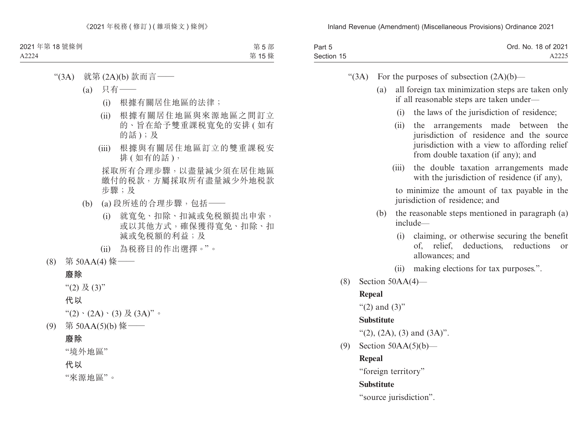| Part 5     | Ord. No. 18 of 2021 |
|------------|---------------------|
| Section 15 | A2225               |

- " $(3A)$  For the purposes of subsection  $(2A)(b)$ 
	- (a) all foreign tax minimization steps are taken only if all reasonable steps are taken under—
		- (i) the laws of the jurisdiction of residence;
		- (ii) the arrangements made between the jurisdiction of residence and the source jurisdiction with a view to affording relief from double taxation (if any); and
		- (iii) the double taxation arrangements made with the jurisdiction of residence (if any),

to minimize the amount of tax payable in the jurisdiction of residence; and

- (b) the reasonable steps mentioned in paragraph (a) include—
	- (i) claiming, or otherwise securing the benefit of, relief, deductions, reductions or allowances; and
	- (ii) making elections for tax purposes.".
- (8) Section 50AA(4)—

#### **Repeal**

" $(2)$  and  $(3)$ "

#### **Substitute**

- "(2), (2A), (3) and  $(3A)$ ".
- (9) Section 50AA(5)(b)—

#### **Repeal**

"foreign territory"

### **Substitute**

"source jurisdiction".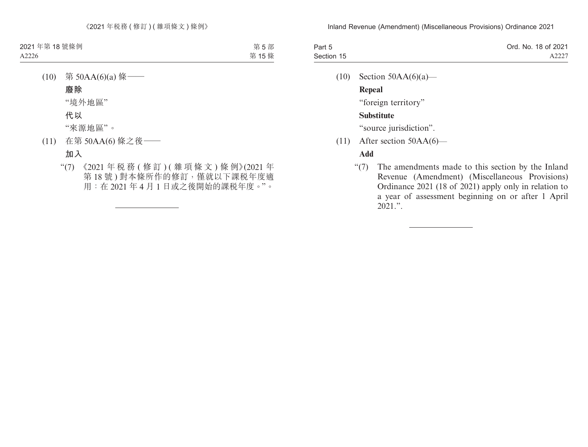| Part 5     | Ord. No. 18 of 2021 |
|------------|---------------------|
| Section 15 | A2227               |

(10) Section  $50AA(6)(a)$ —

**Repeal**

"foreign territory"

### **Substitute**

"source jurisdiction".

(11) After section 50AA(6)—

### **Add**

"(7) The amendments made to this section by the Inland Revenue (Amendment) (Miscellaneous Provisions) Ordinance 2021 (18 of 2021) apply only in relation to a year of assessment beginning on or after 1 April  $2021$ .".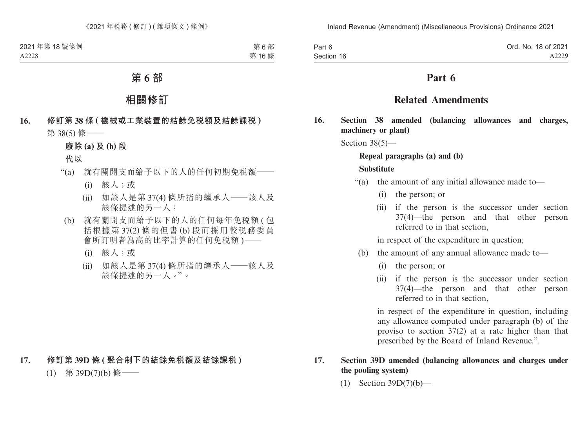| Part 6     | Ord. No. 18 of 2021 |
|------------|---------------------|
| Section 16 | A2229               |

## **Part 6**

## **Related Amendments**

**16. Section 38 amended (balancing allowances and charges, machinery or plant)**

Section 38(5)—

### **Repeal paragraphs (a) and (b)**

#### **Substitute**

- "(a) the amount of any initial allowance made to—
	- (i) the person; or
	- (ii) if the person is the successor under section 37(4)—the person and that other person referred to in that section,

in respect of the expenditure in question;

- (b) the amount of any annual allowance made to—
	- (i) the person; or
	- (ii) if the person is the successor under section 37(4)—the person and that other person referred to in that section,

in respect of the expenditure in question, including any allowance computed under paragraph (b) of the proviso to section 37(2) at a rate higher than that prescribed by the Board of Inland Revenue.".

### **17. Section 39D amended (balancing allowances and charges under the pooling system)**

(1) Section 39D(7)(b)—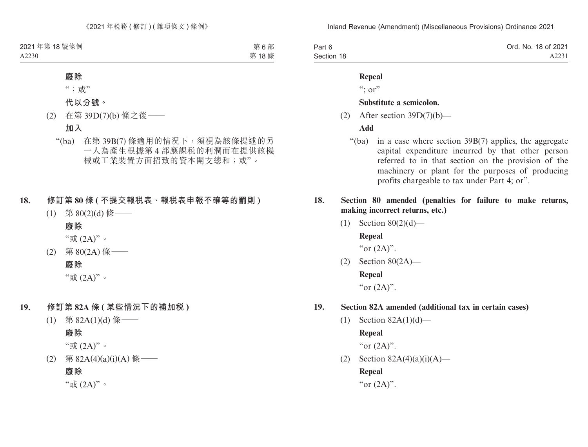| Part 6     | Ord. No. 18 of 2021 |
|------------|---------------------|
| Section 18 | A2231               |

#### **Repeal**

 $\lq\lq$ ; or"

### **Substitute a semicolon.**

(2) After section  $39D(7)(b)$ —

### **Add**

- "(ba) in a case where section 39B(7) applies, the aggregate capital expenditure incurred by that other person referred to in that section on the provision of the machinery or plant for the purposes of producing profits chargeable to tax under Part 4; or".
- **18. Section 80 amended (penalties for failure to make returns, making incorrect returns, etc.)**
	- (1) Section 80(2)(d)— **Repeal**

"or  $(2A)$ ".

(2) Section 80(2A)— **Repeal** "or  $(2A)$ ".

### **19. Section 82A amended (additional tax in certain cases)**

(1) Section 82A(1)(d)—

**Repeal**

"or  $(2A)$ ".

(2) Section  $82A(4)(a)(i)(A)$ —

**Repeal**

"or  $(2A)$ ".